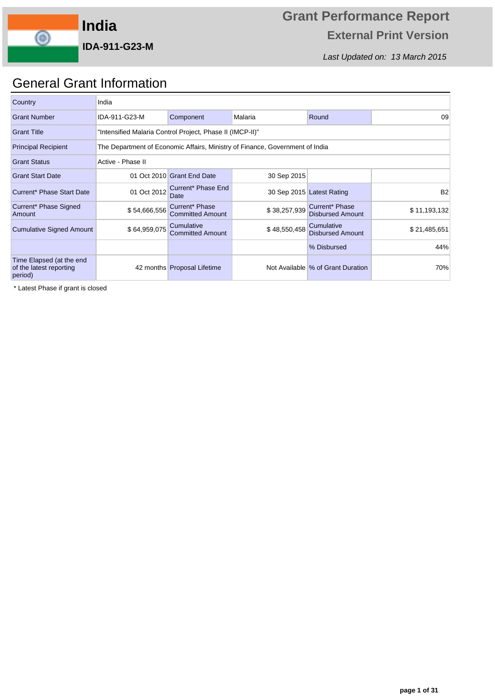

Last Updated on: 13 March 2015

## General Grant Information

| Country                                                        | India             |                                                                              |              |                                       |              |  |  |  |  |  |  |  |
|----------------------------------------------------------------|-------------------|------------------------------------------------------------------------------|--------------|---------------------------------------|--------------|--|--|--|--|--|--|--|
| <b>Grant Number</b>                                            | IDA-911-G23-M     | Component                                                                    | Malaria      | Round                                 | 09           |  |  |  |  |  |  |  |
| <b>Grant Title</b>                                             |                   | "Intensified Malaria Control Project, Phase II (IMCP-II)"                    |              |                                       |              |  |  |  |  |  |  |  |
| <b>Principal Recipient</b>                                     |                   | The Department of Economic Affairs, Ministry of Finance, Government of India |              |                                       |              |  |  |  |  |  |  |  |
| <b>Grant Status</b>                                            | Active - Phase II |                                                                              |              |                                       |              |  |  |  |  |  |  |  |
| <b>Grant Start Date</b>                                        |                   | 01 Oct 2010 Grant End Date                                                   | 30 Sep 2015  |                                       |              |  |  |  |  |  |  |  |
| Current* Phase Start Date                                      | 01 Oct 2012       | Current* Phase End<br>Date                                                   |              | 30 Sep 2015 Latest Rating             | <b>B2</b>    |  |  |  |  |  |  |  |
| Current* Phase Signed<br>Amount                                | \$54,666,556      | Current* Phase<br><b>Committed Amount</b>                                    | \$38,257,939 | Current* Phase<br>Disbursed Amount    | \$11,193,132 |  |  |  |  |  |  |  |
| <b>Cumulative Signed Amount</b>                                | \$64,959,075      | Cumulative<br><b>Committed Amount</b>                                        | \$48,550,458 | Cumulative<br><b>Disbursed Amount</b> | \$21,485,651 |  |  |  |  |  |  |  |
|                                                                |                   |                                                                              |              | % Disbursed                           | 44%          |  |  |  |  |  |  |  |
| Time Elapsed (at the end<br>of the latest reporting<br>period) |                   | 42 months Proposal Lifetime                                                  |              | Not Available % of Grant Duration     | 70%          |  |  |  |  |  |  |  |

\* Latest Phase if grant is closed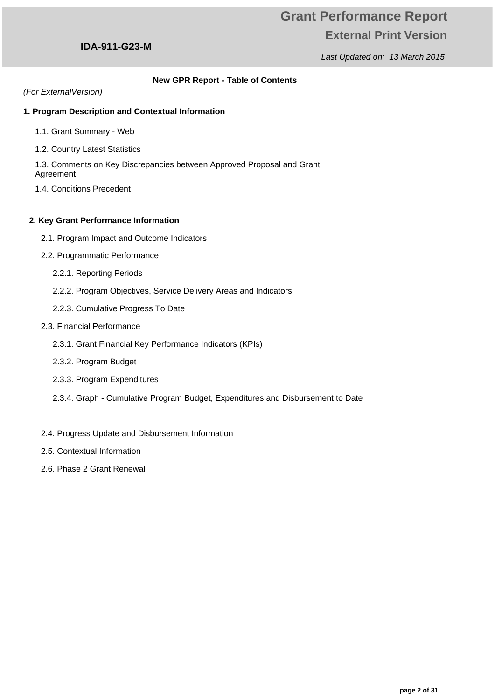### Last Updated on: 13 March 2015

### **IDA-911-G23-M**

### **New GPR Report - Table of Contents**

(For ExternalVersion)

### **1. Program Description and Contextual Information**

- 1.1. Grant Summary Web
- 1.2. Country Latest Statistics

1.3. Comments on Key Discrepancies between Approved Proposal and Grant Agreement

1.4. Conditions Precedent

### **2. Key Grant Performance Information**

- 2.1. Program Impact and Outcome Indicators
- 2.2. Programmatic Performance
	- 2.2.1. Reporting Periods
	- 2.2.2. Program Objectives, Service Delivery Areas and Indicators
	- 2.2.3. Cumulative Progress To Date
- 2.3. Financial Performance
	- 2.3.1. Grant Financial Key Performance Indicators (KPIs)
	- 2.3.2. Program Budget
	- 2.3.3. Program Expenditures
	- 2.3.4. Graph Cumulative Program Budget, Expenditures and Disbursement to Date
- 2.4. Progress Update and Disbursement Information
- 2.5. Contextual Information
- 2.6. Phase 2 Grant Renewal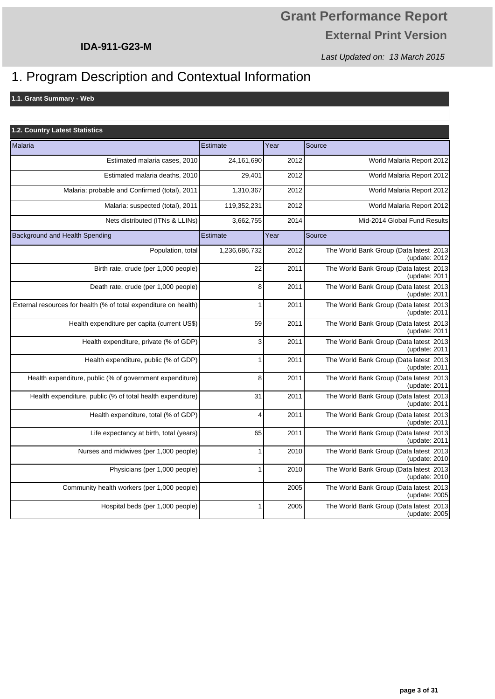Last Updated on: 13 March 2015

## 1. Program Description and Contextual Information

**1.1. Grant Summary - Web**

| <b>1.2. Country Latest Statistics</b>                            |                 |      |                                                            |
|------------------------------------------------------------------|-----------------|------|------------------------------------------------------------|
| Malaria                                                          | Estimate        | Year | Source                                                     |
| Estimated malaria cases, 2010                                    | 24,161,690      | 2012 | World Malaria Report 2012                                  |
| Estimated malaria deaths, 2010                                   | 29,401          | 2012 | World Malaria Report 2012                                  |
| Malaria: probable and Confirmed (total), 2011                    | 1,310,367       | 2012 | World Malaria Report 2012                                  |
| Malaria: suspected (total), 2011                                 | 119,352,231     | 2012 | World Malaria Report 2012                                  |
| Nets distributed (ITNs & LLINs)                                  | 3,662,755       | 2014 | Mid-2014 Global Fund Results                               |
| Background and Health Spending                                   | <b>Estimate</b> | Year | Source                                                     |
| Population, total                                                | 1,236,686,732   | 2012 | The World Bank Group (Data latest 2013)<br>(update: 2012)  |
| Birth rate, crude (per 1,000 people)                             | 22              | 2011 | The World Bank Group (Data latest 2013)<br>(update: $2011$ |
| Death rate, crude (per 1,000 people)                             | 8               | 2011 | The World Bank Group (Data latest 2013)<br>(update: 2011)  |
| External resources for health (% of total expenditure on health) | $\mathbf{1}$    | 2011 | The World Bank Group (Data latest 2013<br>(update: 2011)   |
| Health expenditure per capita (current US\$)                     | 59              | 2011 | The World Bank Group (Data latest 2013)<br>(update: 2011)  |
| Health expenditure, private (% of GDP)                           | 3               | 2011 | The World Bank Group (Data latest 2013)<br>(update: 2011)  |
| Health expenditure, public (% of GDP)                            | $\mathbf{1}$    | 2011 | The World Bank Group (Data latest 2013)<br>(update: 2011)  |
| Health expenditure, public (% of government expenditure)         | 8               | 2011 | The World Bank Group (Data latest 2013)<br>(update: 2011)  |
| Health expenditure, public (% of total health expenditure)       | 31              | 2011 | The World Bank Group (Data latest 2013)<br>(update: 2011)  |
| Health expenditure, total (% of GDP)                             | $\overline{4}$  | 2011 | The World Bank Group (Data latest 2013)<br>(update: 2011)  |
| Life expectancy at birth, total (years)                          | 65              | 2011 | The World Bank Group (Data latest 2013)<br>(update: 2011)  |
| Nurses and midwives (per 1,000 people)                           | $\mathbf{1}$    | 2010 | The World Bank Group (Data latest 2013)<br>(update: 2010)  |
| Physicians (per 1,000 people)                                    | $\mathbf{1}$    | 2010 | The World Bank Group (Data latest 2013)<br>(update: 2010)  |
| Community health workers (per 1,000 people)                      |                 | 2005 | The World Bank Group (Data latest 2013)<br>(update: 2005)  |
| Hospital beds (per 1,000 people)                                 | $\mathbf{1}$    | 2005 | The World Bank Group (Data latest 2013)<br>(update: 2005)  |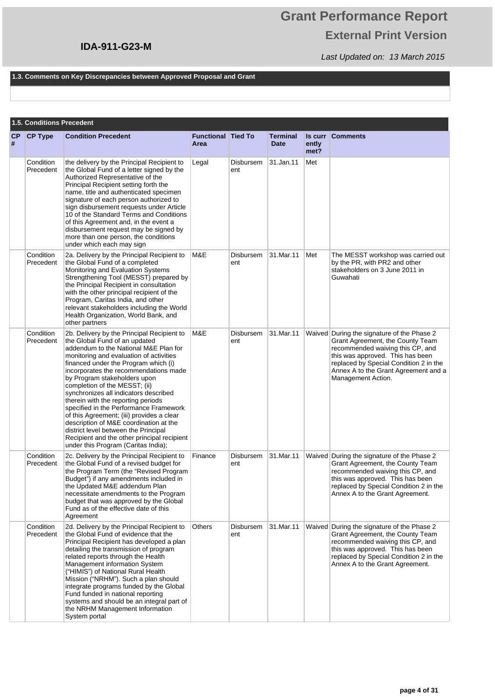# **Grant Performance Report External Print Version**

Last Updated on: 13 March 2015

#### **1.3. Comments on Key Discrepancies between Approved Proposal and Grant**

|                | 1.5. Conditions Precedent |                                                                                                                                                                                                                                                                                                                                                                                                                                                                                                                                                                                                                                                                 |                                   |                  |                                |               |                                                                                                                                                                                                                                                                |  |  |
|----------------|---------------------------|-----------------------------------------------------------------------------------------------------------------------------------------------------------------------------------------------------------------------------------------------------------------------------------------------------------------------------------------------------------------------------------------------------------------------------------------------------------------------------------------------------------------------------------------------------------------------------------------------------------------------------------------------------------------|-----------------------------------|------------------|--------------------------------|---------------|----------------------------------------------------------------------------------------------------------------------------------------------------------------------------------------------------------------------------------------------------------------|--|--|
| <b>CP</b><br># | <b>CP Type</b>            | <b>Condition Precedent</b>                                                                                                                                                                                                                                                                                                                                                                                                                                                                                                                                                                                                                                      | <b>Functional Tied To</b><br>Area |                  | <b>Terminal</b><br><b>Date</b> | ently<br>met? | <b>Is curr Comments</b>                                                                                                                                                                                                                                        |  |  |
|                | Condition<br>Precedent    | the delivery by the Principal Recipient to<br>the Global Fund of a letter signed by the<br>Authorized Representative of the<br>Principal Recipient setting forth the<br>name, title and authenticated specimen<br>signature of each person authorized to<br>sign disbursement requests under Article<br>10 of the Standard Terms and Conditions<br>of this Agreement and, in the event a<br>disbursement request may be signed by<br>more than one person, the conditions<br>under which each may sign                                                                                                                                                          | Legal                             | Disbursem<br>ent | 31.Jan.11                      | Met           |                                                                                                                                                                                                                                                                |  |  |
|                | Condition<br>Precedent    | 2a. Delivery by the Principal Recipient to<br>the Global Fund of a completed<br>Monitoring and Evaluation Systems<br>Strengthening Tool (MESST) prepared by<br>the Principal Recipient in consultation<br>with the other principal recipient of the<br>Program, Caritas India, and other<br>relevant stakeholders including the World<br>Health Organization, World Bank, and<br>other partners                                                                                                                                                                                                                                                                 | M&E                               | Disbursem<br>ent | 31.Mar.11                      | Met           | The MESST workshop was carried out<br>by the PR, with PR2 and other<br>stakeholders on 3 June 2011 in<br>Guwahati                                                                                                                                              |  |  |
|                | Condition<br>Precedent    | 2b. Delivery by the Principal Recipient to<br>the Global Fund of an updated<br>addendum to the National M&E Plan for<br>monitoring and evaluation of activities<br>financed under the Program which (i)<br>incorporates the recommendations made<br>by Program stakeholders upon<br>completion of the MESST; (ii)<br>synchronizes all indicators described<br>therein with the reporting periods<br>specified in the Performance Framework<br>of this Agreement; (iii) provides a clear<br>description of M&E coordination at the<br>district level between the Principal<br>Recipient and the other principal recipient<br>under this Program (Caritas India); | M&E                               | Disbursem<br>ent | 31.Mar.11                      |               | Waived During the signature of the Phase 2<br>Grant Agreement, the County Team<br>recommended waiving this CP, and<br>this was approved. This has been<br>replaced by Special Condition 2 in the<br>Annex A to the Grant Agreement and a<br>Management Action. |  |  |
|                | Condition<br>Precedent    | 2c. Delivery by the Principal Recipient to<br>the Global Fund of a revised budget for<br>the Program Term (the "Revised Program<br>Budget") if any amendments included in<br>the Updated M&E addendum Plan<br>necessitate amendments to the Program<br>budget that was approved by the Global<br>Fund as of the effective date of this<br>Agreement                                                                                                                                                                                                                                                                                                             | Finance                           | Disbursem<br>ent | 31.Mar.11                      |               | Waived During the signature of the Phase 2<br>Grant Agreement, the County Team<br>recommended waiving this CP, and<br>this was approved. This has been<br>replaced by Special Condition 2 in the<br>Annex A to the Grant Agreement.                            |  |  |
|                | Condition<br>Precedent    | 2d. Delivery by the Principal Recipient to<br>the Global Fund of evidence that the<br>Principal Recipient has developed a plan<br>detailing the transmission of program<br>related reports through the Health<br>Management information System<br>("HIMIS") of National Rural Health<br>Mission ("NRHM"). Such a plan should<br>integrate programs funded by the Global<br>Fund funded in national reporting<br>systems and should be an integral part of<br>the NRHM Management Information<br>System portal                                                                                                                                                   | Others                            | Disbursem<br>ent | 31.Mar.11                      |               | Waived During the signature of the Phase 2<br>Grant Agreement, the County Team<br>recommended waiving this CP, and<br>this was approved. This has been<br>replaced by Special Condition 2 in the<br>Annex A to the Grant Agreement.                            |  |  |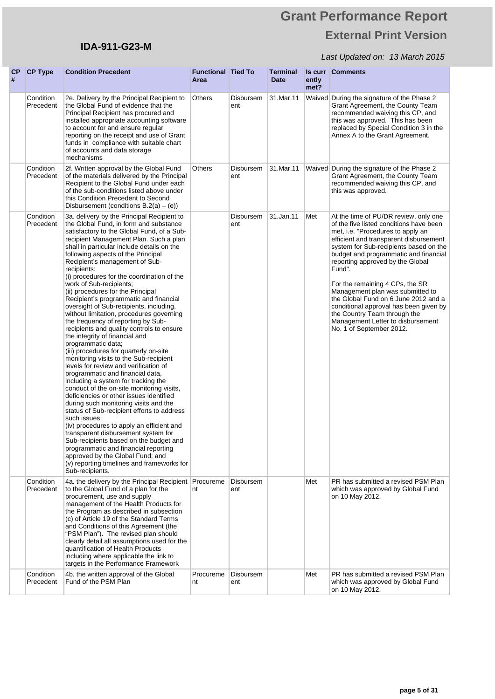## **IDA-911-G23-M**

| CP<br># | <b>CP Type</b>         | <b>Condition Precedent</b>                                                                                                                                                                                                                                                                                                                                                                                                                                                                                                                                                                                                                                                                                                                                                                                                                                                                                                                                                                                                                                                                                                                                                                                                                                                                                                                                                                    | <b>Functional Tied To</b><br>Area |                  | <b>Terminal</b><br><b>Date</b> | ently<br>met? | <b>Is curr Comments</b>                                                                                                                                                                                                                                                                                                                                                                                                                                                                                                                                    |
|---------|------------------------|-----------------------------------------------------------------------------------------------------------------------------------------------------------------------------------------------------------------------------------------------------------------------------------------------------------------------------------------------------------------------------------------------------------------------------------------------------------------------------------------------------------------------------------------------------------------------------------------------------------------------------------------------------------------------------------------------------------------------------------------------------------------------------------------------------------------------------------------------------------------------------------------------------------------------------------------------------------------------------------------------------------------------------------------------------------------------------------------------------------------------------------------------------------------------------------------------------------------------------------------------------------------------------------------------------------------------------------------------------------------------------------------------|-----------------------------------|------------------|--------------------------------|---------------|------------------------------------------------------------------------------------------------------------------------------------------------------------------------------------------------------------------------------------------------------------------------------------------------------------------------------------------------------------------------------------------------------------------------------------------------------------------------------------------------------------------------------------------------------------|
|         | Condition<br>Precedent | 2e. Delivery by the Principal Recipient to<br>the Global Fund of evidence that the<br>Principal Recipient has procured and<br>installed appropriate accounting software<br>to account for and ensure regular<br>reporting on the receipt and use of Grant<br>funds in compliance with suitable chart<br>of accounts and data storage<br>mechanisms                                                                                                                                                                                                                                                                                                                                                                                                                                                                                                                                                                                                                                                                                                                                                                                                                                                                                                                                                                                                                                            | Others                            | Disbursem<br>ent | 31.Mar.11                      |               | Waived During the signature of the Phase 2<br>Grant Agreement, the County Team<br>recommended waiving this CP, and<br>this was approved. This has been<br>replaced by Special Condition 3 in the<br>Annex A to the Grant Agreement.                                                                                                                                                                                                                                                                                                                        |
|         | Condition<br>Precedent | 2f. Written approval by the Global Fund<br>of the materials delivered by the Principal<br>Recipient to the Global Fund under each<br>of the sub-conditions listed above under<br>this Condition Precedent to Second<br>Disbursement (conditions $B.2(a) - (e)$ )                                                                                                                                                                                                                                                                                                                                                                                                                                                                                                                                                                                                                                                                                                                                                                                                                                                                                                                                                                                                                                                                                                                              | Others                            | Disbursem<br>ent | 31.Mar.11                      |               | Waived During the signature of the Phase 2<br>Grant Agreement, the County Team<br>recommended waiving this CP, and<br>this was approved.                                                                                                                                                                                                                                                                                                                                                                                                                   |
|         | Condition<br>Precedent | 3a. delivery by the Principal Recipient to<br>the Global Fund, in form and substance<br>satisfactory to the Global Fund, of a Sub-<br>recipient Management Plan. Such a plan<br>shall in particular include details on the<br>following aspects of the Principal<br>Recipient's management of Sub-<br>recipients:<br>(i) procedures for the coordination of the<br>work of Sub-recipients;<br>(ii) procedures for the Principal<br>Recipient's programmatic and financial<br>oversight of Sub-recipients, including,<br>without limitation, procedures governing<br>the frequency of reporting by Sub-<br>recipients and quality controls to ensure<br>the integrity of financial and<br>programmatic data;<br>(iii) procedures for quarterly on-site<br>monitoring visits to the Sub-recipient<br>levels for review and verification of<br>programmatic and financial data,<br>including a system for tracking the<br>conduct of the on-site monitoring visits,<br>deficiencies or other issues identified<br>during such monitoring visits and the<br>status of Sub-recipient efforts to address<br>such issues:<br>(iv) procedures to apply an efficient and<br>transparent disbursement system for<br>Sub-recipients based on the budget and<br>programmatic and financial reporting<br>approved by the Global Fund; and<br>(v) reporting timelines and frameworks for<br>Sub-recipients. |                                   | Disbursem<br>ent | 31.Jan.11                      | Met           | At the time of PU/DR review, only one<br>of the five listed conditions have been<br>met, i.e. "Procedures to apply an<br>efficient and transparent disbursement<br>system for Sub-recipients based on the<br>budget and programmatic and financial<br>reporting approved by the Global<br>Fund".<br>For the remaining 4 CPs, the SR<br>Management plan was submitted to<br>the Global Fund on 6 June 2012 and a<br>conditional approval has been given by<br>the Country Team through the<br>Management Letter to disbursement<br>No. 1 of September 2012. |
|         | Condition<br>Precedent | 4a. the delivery by the Principal Recipient<br>to the Global Fund of a plan for the<br>procurement, use and supply<br>management of the Health Products for<br>the Program as described in subsection<br>(c) of Article 19 of the Standard Terms<br>and Conditions of this Agreement (the<br>"PSM Plan"). The revised plan should<br>clearly detail all assumptions used for the<br>quantification of Health Products<br>including where applicable the link to<br>targets in the Performance Framework                                                                                                                                                                                                                                                                                                                                                                                                                                                                                                                                                                                                                                                                                                                                                                                                                                                                                       | Procureme<br>nt                   | Disbursem<br>ent |                                | Met           | PR has submitted a revised PSM Plan<br>which was approved by Global Fund<br>on 10 May 2012.                                                                                                                                                                                                                                                                                                                                                                                                                                                                |
|         | Condition<br>Precedent | 4b. the written approval of the Global<br>Fund of the PSM Plan                                                                                                                                                                                                                                                                                                                                                                                                                                                                                                                                                                                                                                                                                                                                                                                                                                                                                                                                                                                                                                                                                                                                                                                                                                                                                                                                | Procureme<br>nt                   | Disbursem<br>ent |                                | Met           | PR has submitted a revised PSM Plan<br>which was approved by Global Fund<br>on 10 May 2012.                                                                                                                                                                                                                                                                                                                                                                                                                                                                |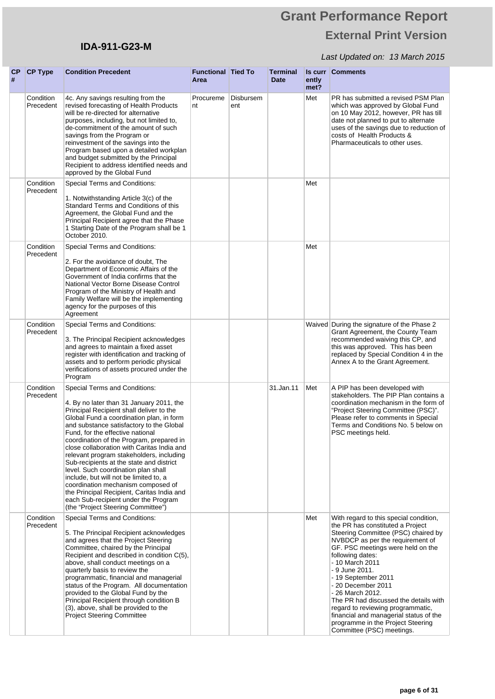## **IDA-911-G23-M**

| <b>CP</b><br># | <b>CP Type</b>         | <b>Condition Precedent</b>                                                                                                                                                                                                                                                                                                                                                                                                                                                                                                                                                                                                                                                             | <b>Functional Tied To</b><br>Area |                  | <b>Terminal</b><br><b>Date</b> | ently<br>met? | <b>Is curr Comments</b>                                                                                                                                                                                                                                                                                                                                                                                                                                                                                        |
|----------------|------------------------|----------------------------------------------------------------------------------------------------------------------------------------------------------------------------------------------------------------------------------------------------------------------------------------------------------------------------------------------------------------------------------------------------------------------------------------------------------------------------------------------------------------------------------------------------------------------------------------------------------------------------------------------------------------------------------------|-----------------------------------|------------------|--------------------------------|---------------|----------------------------------------------------------------------------------------------------------------------------------------------------------------------------------------------------------------------------------------------------------------------------------------------------------------------------------------------------------------------------------------------------------------------------------------------------------------------------------------------------------------|
|                | Condition<br>Precedent | 4c. Any savings resulting from the<br>revised forecasting of Health Products<br>will be re-directed for alternative<br>purposes, including, but not limited to,<br>de-commitment of the amount of such<br>savings from the Program or<br>reinvestment of the savings into the<br>Program based upon a detailed workplan<br>and budget submitted by the Principal<br>Recipient to address identified needs and<br>approved by the Global Fund                                                                                                                                                                                                                                           | Procureme<br>nt                   | Disbursem<br>ent |                                | Met           | PR has submitted a revised PSM Plan<br>which was approved by Global Fund<br>on 10 May 2012, however, PR has till<br>date not planned to put to alternate<br>uses of the savings due to reduction of<br>costs of Health Products &<br>Pharmaceuticals to other uses.                                                                                                                                                                                                                                            |
|                | Condition<br>Precedent | Special Terms and Conditions:<br>1. Notwithstanding Article 3(c) of the<br>Standard Terms and Conditions of this<br>Agreement, the Global Fund and the<br>Principal Recipient agree that the Phase<br>1 Starting Date of the Program shall be 1<br>October 2010.                                                                                                                                                                                                                                                                                                                                                                                                                       |                                   |                  |                                | Met           |                                                                                                                                                                                                                                                                                                                                                                                                                                                                                                                |
|                | Condition<br>Precedent | Special Terms and Conditions:<br>2. For the avoidance of doubt, The<br>Department of Economic Affairs of the<br>Government of India confirms that the<br>National Vector Borne Disease Control<br>Program of the Ministry of Health and<br>Family Welfare will be the implementing<br>agency for the purposes of this<br>Agreement                                                                                                                                                                                                                                                                                                                                                     |                                   |                  |                                | Met           |                                                                                                                                                                                                                                                                                                                                                                                                                                                                                                                |
|                | Condition<br>Precedent | Special Terms and Conditions:<br>3. The Principal Recipient acknowledges<br>and agrees to maintain a fixed asset<br>register with identification and tracking of<br>assets and to perform periodic physical<br>verifications of assets procured under the<br>Program                                                                                                                                                                                                                                                                                                                                                                                                                   |                                   |                  |                                |               | Waived During the signature of the Phase 2<br>Grant Agreement, the County Team<br>recommended waiving this CP, and<br>this was approved. This has been<br>replaced by Special Condition 4 in the<br>Annex A to the Grant Agreement.                                                                                                                                                                                                                                                                            |
|                | Condition<br>Precedent | Special Terms and Conditions:<br>4. By no later than 31 January 2011, the<br>Principal Recipient shall deliver to the<br>Global Fund a coordination plan, in form<br>and substance satisfactory to the Global<br>Fund, for the effective national<br>coordination of the Program, prepared in<br>close collaboration with Caritas India and<br>relevant program stakeholders, including<br>Sub-recipients at the state and district<br>level. Such coordination plan shall<br>include, but will not be limited to, a<br>coordination mechanism composed of<br>the Principal Recipient, Caritas India and<br>each Sub-recipient under the Program<br>(the "Project Steering Committee") |                                   |                  | 31.Jan.11                      | Met           | A PIP has been developed with<br>stakeholders. The PIP Plan contains a<br>coordination mechanism in the form of<br>"Project Steering Committee (PSC)".<br>Please refer to comments in Special<br>Terms and Conditions No. 5 below on<br>PSC meetings held.                                                                                                                                                                                                                                                     |
|                | Condition<br>Precedent | Special Terms and Conditions:<br>5. The Principal Recipient acknowledges<br>and agrees that the Project Steering<br>Committee, chaired by the Principal<br>Recipient and described in condition C(5),<br>above, shall conduct meetings on a<br>quarterly basis to review the<br>programmatic, financial and managerial<br>status of the Program. All documentation<br>provided to the Global Fund by the<br>Principal Recipient through condition B<br>(3), above, shall be provided to the<br><b>Project Steering Committee</b>                                                                                                                                                       |                                   |                  |                                | Met           | With regard to this special condition,<br>the PR has constituted a Project<br>Steering Committee (PSC) chaired by<br>NVBDCP as per the requirement of<br>GF. PSC meetings were held on the<br>following dates:<br>- 10 March 2011<br>- 9 June 2011.<br>- 19 September 2011<br>- 20 December 2011<br>- 26 March 2012.<br>The PR had discussed the details with<br>regard to reviewing programmatic,<br>financial and managerial status of the<br>programme in the Project Steering<br>Committee (PSC) meetings. |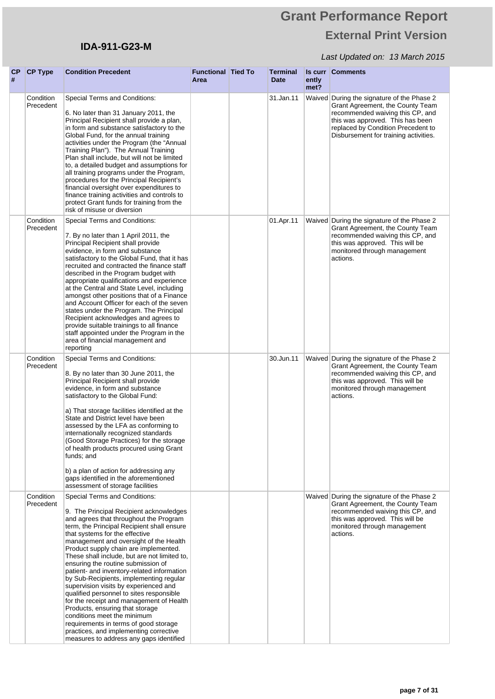## **IDA-911-G23-M**

| <b>CP</b><br># | <b>CP Type</b>         | <b>Condition Precedent</b>                                                                                                                                                                                                                                                                                                                                                                                                                                                                                                                                                                                                                                                                                                                                                                            | <b>Functional Tied To</b><br>Area | <b>Terminal</b><br><b>Date</b> | ently<br>met? | <b>Is curr Comments</b>                                                                                                                                                                                                               |
|----------------|------------------------|-------------------------------------------------------------------------------------------------------------------------------------------------------------------------------------------------------------------------------------------------------------------------------------------------------------------------------------------------------------------------------------------------------------------------------------------------------------------------------------------------------------------------------------------------------------------------------------------------------------------------------------------------------------------------------------------------------------------------------------------------------------------------------------------------------|-----------------------------------|--------------------------------|---------------|---------------------------------------------------------------------------------------------------------------------------------------------------------------------------------------------------------------------------------------|
|                | Condition<br>Precedent | Special Terms and Conditions:<br>6. No later than 31 January 2011, the<br>Principal Recipient shall provide a plan,<br>in form and substance satisfactory to the<br>Global Fund, for the annual training<br>activities under the Program (the "Annual<br>Training Plan"). The Annual Training<br>Plan shall include, but will not be limited<br>to, a detailed budget and assumptions for<br>all training programs under the Program,<br>procedures for the Principal Recipient's<br>financial oversight over expenditures to<br>finance training activities and controls to<br>protect Grant funds for training from the<br>risk of misuse or diversion                                                                                                                                              |                                   | 31.Jan.11                      |               | Waived During the signature of the Phase 2<br>Grant Agreement, the County Team<br>recommended waiving this CP, and<br>this was approved. This has been<br>replaced by Condition Precedent to<br>Disbursement for training activities. |
|                | Condition<br>Precedent | Special Terms and Conditions:<br>7. By no later than 1 April 2011, the<br>Principal Recipient shall provide<br>evidence, in form and substance<br>satisfactory to the Global Fund, that it has<br>recruited and contracted the finance staff<br>described in the Program budget with<br>appropriate qualifications and experience<br>at the Central and State Level, including<br>amongst other positions that of a Finance<br>and Account Officer for each of the seven<br>states under the Program. The Principal<br>Recipient acknowledges and agrees to<br>provide suitable trainings to all finance<br>staff appointed under the Program in the<br>area of financial management and<br>reporting                                                                                                 |                                   | 01.Apr.11                      |               | Waived During the signature of the Phase 2<br>Grant Agreement, the County Team<br>recommended waiving this CP, and<br>this was approved. This will be<br>monitored through management<br>actions.                                     |
|                | Condition<br>Precedent | Special Terms and Conditions:<br>8. By no later than 30 June 2011, the<br>Principal Recipient shall provide<br>evidence, in form and substance<br>satisfactory to the Global Fund:<br>a) That storage facilities identified at the<br>State and District level have been<br>assessed by the LFA as conforming to<br>internationally recognized standards<br>(Good Storage Practices) for the storage<br>of health products procured using Grant<br>funds; and<br>b) a plan of action for addressing any<br>gaps identified in the aforementioned<br>assessment of storage facilities                                                                                                                                                                                                                  |                                   | 30.Jun.11                      |               | Waived During the signature of the Phase 2<br>Grant Agreement, the County Team<br>recommended waiving this CP, and<br>this was approved. This will be<br>monitored through management<br>actions.                                     |
|                | Condition<br>Precedent | Special Terms and Conditions:<br>9. The Principal Recipient acknowledges<br>and agrees that throughout the Program<br>term, the Principal Recipient shall ensure<br>that systems for the effective<br>management and oversight of the Health<br>Product supply chain are implemented.<br>These shall include, but are not limited to,<br>ensuring the routine submission of<br>patient- and inventory-related information<br>by Sub-Recipients, implementing regular<br>supervision visits by experienced and<br>qualified personnel to sites responsible<br>for the receipt and management of Health<br>Products, ensuring that storage<br>conditions meet the minimum<br>requirements in terms of good storage<br>practices, and implementing corrective<br>measures to address any gaps identified |                                   |                                |               | Waived During the signature of the Phase 2<br>Grant Agreement, the County Team<br>recommended waiving this CP, and<br>this was approved. This will be<br>monitored through management<br>actions.                                     |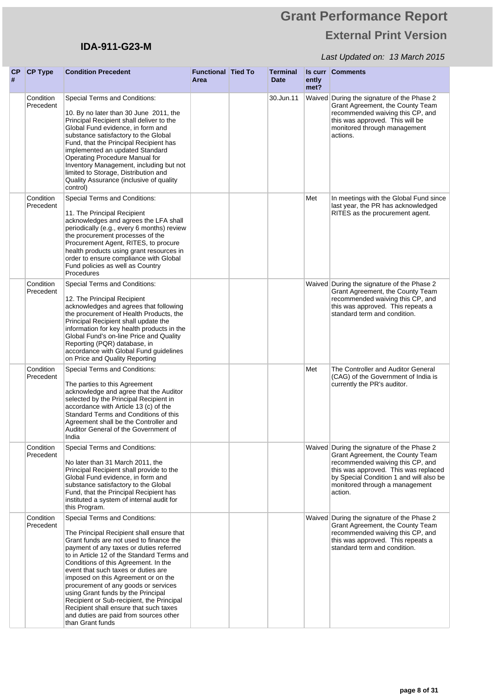## **IDA-911-G23-M**

| CP<br># | <b>CP Type</b>         | <b>Condition Precedent</b>                                                                                                                                                                                                                                                                                                                                                                                                                                                                                                                                              | <b>Functional Tied To</b><br>Area | <b>Terminal</b><br><b>Date</b> | ently<br>met? | <b>Is curr Comments</b>                                                                                                                                                                                                                            |
|---------|------------------------|-------------------------------------------------------------------------------------------------------------------------------------------------------------------------------------------------------------------------------------------------------------------------------------------------------------------------------------------------------------------------------------------------------------------------------------------------------------------------------------------------------------------------------------------------------------------------|-----------------------------------|--------------------------------|---------------|----------------------------------------------------------------------------------------------------------------------------------------------------------------------------------------------------------------------------------------------------|
|         | Condition<br>Precedent | Special Terms and Conditions:<br>10. By no later than 30 June 2011, the<br>Principal Recipient shall deliver to the<br>Global Fund evidence, in form and<br>substance satisfactory to the Global<br>Fund, that the Principal Recipient has<br>implemented an updated Standard<br>Operating Procedure Manual for<br>Inventory Management, including but not<br>limited to Storage, Distribution and<br>Quality Assurance (inclusive of quality<br>control)                                                                                                               |                                   | 30.Jun.11                      |               | Waived During the signature of the Phase 2<br>Grant Agreement, the County Team<br>recommended waiving this CP, and<br>this was approved. This will be<br>monitored through management<br>actions.                                                  |
|         | Condition<br>Precedent | Special Terms and Conditions:<br>11. The Principal Recipient<br>acknowledges and agrees the LFA shall<br>periodically (e.g., every 6 months) review<br>the procurement processes of the<br>Procurement Agent, RITES, to procure<br>health products using grant resources in<br>order to ensure compliance with Global<br>Fund policies as well as Country<br>Procedures                                                                                                                                                                                                 |                                   |                                | Met           | In meetings with the Global Fund since<br>last year, the PR has acknowledged<br>RITES as the procurement agent.                                                                                                                                    |
|         | Condition<br>Precedent | Special Terms and Conditions:<br>12. The Principal Recipient<br>acknowledges and agrees that following<br>the procurement of Health Products, the<br>Principal Recipient shall update the<br>information for key health products in the<br>Global Fund's on-line Price and Quality<br>Reporting (PQR) database, in<br>accordance with Global Fund guidelines<br>on Price and Quality Reporting                                                                                                                                                                          |                                   |                                |               | Waived During the signature of the Phase 2<br>Grant Agreement, the County Team<br>recommended waiving this CP, and<br>this was approved. This repeats a<br>standard term and condition.                                                            |
|         | Condition<br>Precedent | Special Terms and Conditions:<br>The parties to this Agreement<br>acknowledge and agree that the Auditor<br>selected by the Principal Recipient in<br>accordance with Article 13 (c) of the<br>Standard Terms and Conditions of this<br>Agreement shall be the Controller and<br>Auditor General of the Government of<br>India                                                                                                                                                                                                                                          |                                   |                                | Met           | The Controller and Auditor General<br>(CAG) of the Government of India is<br>currently the PR's auditor.                                                                                                                                           |
|         | Condition<br>Precedent | Special Terms and Conditions:<br>No later than 31 March 2011, the<br>Principal Recipient shall provide to the<br>Global Fund evidence, in form and<br>substance satisfactory to the Global<br>Fund, that the Principal Recipient has<br>instituted a system of internal audit for<br>this Program.                                                                                                                                                                                                                                                                      |                                   |                                |               | Waived During the signature of the Phase 2<br>Grant Agreement, the County Team<br>recommended waiving this CP, and<br>this was approved. This was replaced<br>by Special Condition 1 and will also be<br>monitored through a management<br>action. |
|         | Condition<br>Precedent | Special Terms and Conditions:<br>The Principal Recipient shall ensure that<br>Grant funds are not used to finance the<br>payment of any taxes or duties referred<br>to in Article 12 of the Standard Terms and<br>Conditions of this Agreement. In the<br>event that such taxes or duties are<br>imposed on this Agreement or on the<br>procurement of any goods or services<br>using Grant funds by the Principal<br>Recipient or Sub-recipient, the Principal<br>Recipient shall ensure that such taxes<br>and duties are paid from sources other<br>than Grant funds |                                   |                                |               | Waived During the signature of the Phase 2<br>Grant Agreement, the County Team<br>recommended waiving this CP, and<br>this was approved. This repeats a<br>standard term and condition.                                                            |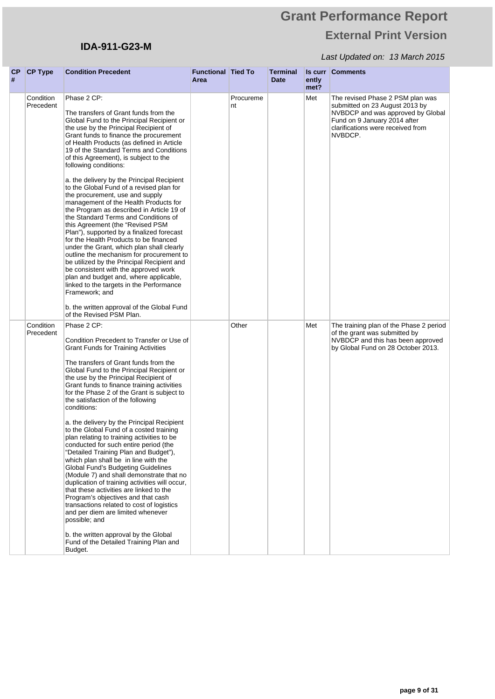## **IDA-911-G23-M**

| <b>CP</b><br># | <b>CP Type</b>         | <b>Condition Precedent</b>                                                                                                                                                                                                                                                                                                                                                                                                                                                                                                                                                                                                                                                                                                                                                                                                                                                                                                                                                                                                                                                                            | <b>Functional Tied To</b><br>Area |                 | <b>Terminal</b><br><b>Date</b> | ently<br>met? | <b>Is curr Comments</b>                                                                                                                                                                 |
|----------------|------------------------|-------------------------------------------------------------------------------------------------------------------------------------------------------------------------------------------------------------------------------------------------------------------------------------------------------------------------------------------------------------------------------------------------------------------------------------------------------------------------------------------------------------------------------------------------------------------------------------------------------------------------------------------------------------------------------------------------------------------------------------------------------------------------------------------------------------------------------------------------------------------------------------------------------------------------------------------------------------------------------------------------------------------------------------------------------------------------------------------------------|-----------------------------------|-----------------|--------------------------------|---------------|-----------------------------------------------------------------------------------------------------------------------------------------------------------------------------------------|
|                | Condition<br>Precedent | Phase 2 CP:<br>The transfers of Grant funds from the<br>Global Fund to the Principal Recipient or<br>the use by the Principal Recipient of<br>Grant funds to finance the procurement<br>of Health Products (as defined in Article<br>19 of the Standard Terms and Conditions<br>of this Agreement), is subject to the<br>following conditions:<br>a. the delivery by the Principal Recipient<br>to the Global Fund of a revised plan for<br>the procurement, use and supply<br>management of the Health Products for<br>the Program as described in Article 19 of<br>the Standard Terms and Conditions of<br>this Agreement (the "Revised PSM<br>Plan"), supported by a finalized forecast<br>for the Health Products to be financed<br>under the Grant, which plan shall clearly<br>outline the mechanism for procurement to<br>be utilized by the Principal Recipient and<br>be consistent with the approved work<br>plan and budget and, where applicable,<br>linked to the targets in the Performance<br>Framework; and<br>b. the written approval of the Global Fund<br>of the Revised PSM Plan. |                                   | Procureme<br>nt |                                | Met           | The revised Phase 2 PSM plan was<br>submitted on 23 August 2013 by<br>NVBDCP and was approved by Global<br>Fund on 9 January 2014 after<br>clarifications were received from<br>NVBDCP. |
|                | Condition<br>Precedent | Phase 2 CP:<br>Condition Precedent to Transfer or Use of<br><b>Grant Funds for Training Activities</b><br>The transfers of Grant funds from the<br>Global Fund to the Principal Recipient or<br>the use by the Principal Recipient of<br>Grant funds to finance training activities<br>for the Phase 2 of the Grant is subject to<br>the satisfaction of the following<br>conditions:<br>a. the delivery by the Principal Recipient<br>to the Global Fund of a costed training<br>plan relating to training activities to be<br>conducted for such entire period (the<br>"Detailed Training Plan and Budget"),<br>which plan shall be in line with the<br>Global Fund's Budgeting Guidelines<br>(Module 7) and shall demonstrate that no<br>duplication of training activities will occur,<br>that these activities are linked to the<br>Program's objectives and that cash<br>transactions related to cost of logistics<br>and per diem are limited whenever<br>possible; and<br>b. the written approval by the Global<br>Fund of the Detailed Training Plan and<br>Budget.                          |                                   | Other           |                                | Met           | The training plan of the Phase 2 period<br>of the grant was submitted by<br>NVBDCP and this has been approved<br>by Global Fund on 28 October 2013.                                     |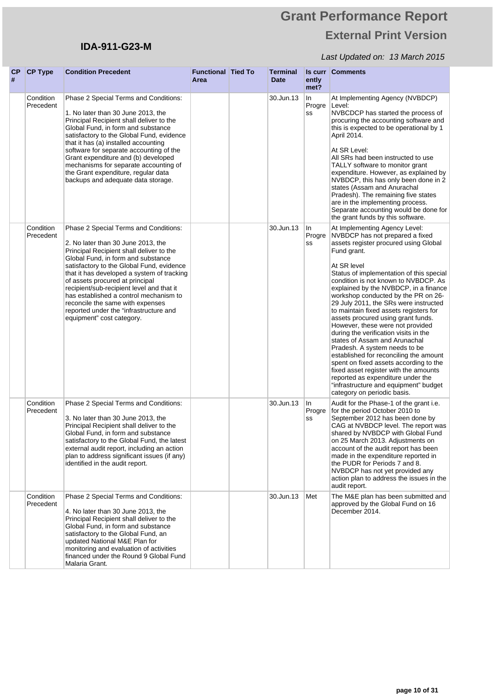## **IDA-911-G23-M**

| CP<br># | <b>CP Type</b>         | <b>Condition Precedent</b>                                                                                                                                                                                                                                                                                                                                                                                                                                                                    | <b>Functional Tied To</b><br>Area | <b>Terminal</b><br><b>Date</b> | ently<br>met?       | <b>Is curr Comments</b>                                                                                                                                                                                                                                                                                                                                                                                                                                                                                                                                                                                                                                                                                                                                                                                                       |
|---------|------------------------|-----------------------------------------------------------------------------------------------------------------------------------------------------------------------------------------------------------------------------------------------------------------------------------------------------------------------------------------------------------------------------------------------------------------------------------------------------------------------------------------------|-----------------------------------|--------------------------------|---------------------|-------------------------------------------------------------------------------------------------------------------------------------------------------------------------------------------------------------------------------------------------------------------------------------------------------------------------------------------------------------------------------------------------------------------------------------------------------------------------------------------------------------------------------------------------------------------------------------------------------------------------------------------------------------------------------------------------------------------------------------------------------------------------------------------------------------------------------|
|         | Condition<br>Precedent | Phase 2 Special Terms and Conditions:<br>1. No later than 30 June 2013, the<br>Principal Recipient shall deliver to the<br>Global Fund, in form and substance<br>satisfactory to the Global Fund, evidence<br>that it has (a) installed accounting<br>software for separate accounting of the<br>Grant expenditure and (b) developed<br>mechanisms for separate accounting of<br>the Grant expenditure, regular data<br>backups and adequate data storage.                                    |                                   | 30.Jun.13                      | In<br>Progre<br>SS  | At Implementing Agency (NVBDCP)<br>Level:<br>NVBCDCP has started the process of<br>procuring the accounting software and<br>this is expected to be operational by 1<br>April 2014.<br>At SR Level:<br>All SRs had been instructed to use<br>TALLY software to monitor grant<br>expenditure. However, as explained by<br>NVBDCP, this has only been done in 2<br>states (Assam and Anurachal<br>Pradesh). The remaining five states<br>are in the implementing process.<br>Separate accounting would be done for<br>the grant funds by this software.                                                                                                                                                                                                                                                                          |
|         | Condition<br>Precedent | Phase 2 Special Terms and Conditions:<br>2. No later than 30 June 2013, the<br>Principal Recipient shall deliver to the<br>Global Fund, in form and substance<br>satisfactory to the Global Fund, evidence<br>that it has developed a system of tracking<br>of assets procured at principal<br>recipient/sub-recipient level and that it<br>has established a control mechanism to<br>reconcile the same with expenses<br>reported under the "infrastructure and<br>equipment" cost category. |                                   | 30.Jun.13                      | In<br>Progre<br>SS  | At Implementing Agency Level:<br>NVBDCP has not prepared a fixed<br>assets register procured using Global<br>Fund grant.<br>At SR level<br>Status of implementation of this special<br>condition is not known to NVBDCP. As<br>explained by the NVBDCP, in a finance<br>workshop conducted by the PR on 26-<br>29 July 2011, the SRs were instructed<br>to maintain fixed assets registers for<br>assets procured using grant funds.<br>However, these were not provided<br>during the verification visits in the<br>states of Assam and Arunachal<br>Pradesh. A system needs to be<br>established for reconciling the amount<br>spent on fixed assets according to the<br>fixed asset register with the amounts<br>reported as expenditure under the<br>"infrastructure and equipment" budget<br>category on periodic basis. |
|         | Condition<br>Precedent | Phase 2 Special Terms and Conditions:<br>3. No later than 30 June 2013, the<br>Principal Recipient shall deliver to the<br>Global Fund, in form and substance<br>satisfactory to the Global Fund, the latest<br>external audit report, including an action<br>plan to address significant issues (if any)<br>identified in the audit report.                                                                                                                                                  |                                   | 30.Jun.13                      | In.<br>Progre<br>SS | Audit for the Phase-1 of the grant i.e.<br>for the period October 2010 to<br>September 2012 has been done by<br>CAG at NVBDCP level. The report was<br>shared by NVBDCP with Global Fund<br>on 25 March 2013. Adjustments on<br>account of the audit report has been<br>made in the expenditure reported in<br>the PUDR for Periods 7 and 8.<br>NVBDCP has not yet provided any<br>action plan to address the issues in the<br>audit report.                                                                                                                                                                                                                                                                                                                                                                                  |
|         | Condition<br>Precedent | Phase 2 Special Terms and Conditions:<br>4. No later than 30 June 2013, the<br>Principal Recipient shall deliver to the<br>Global Fund, in form and substance<br>satisfactory to the Global Fund, an<br>updated National M&E Plan for<br>monitoring and evaluation of activities<br>financed under the Round 9 Global Fund<br>Malaria Grant.                                                                                                                                                  |                                   | 30.Jun.13                      | Met                 | The M&E plan has been submitted and<br>approved by the Global Fund on 16<br>December 2014.                                                                                                                                                                                                                                                                                                                                                                                                                                                                                                                                                                                                                                                                                                                                    |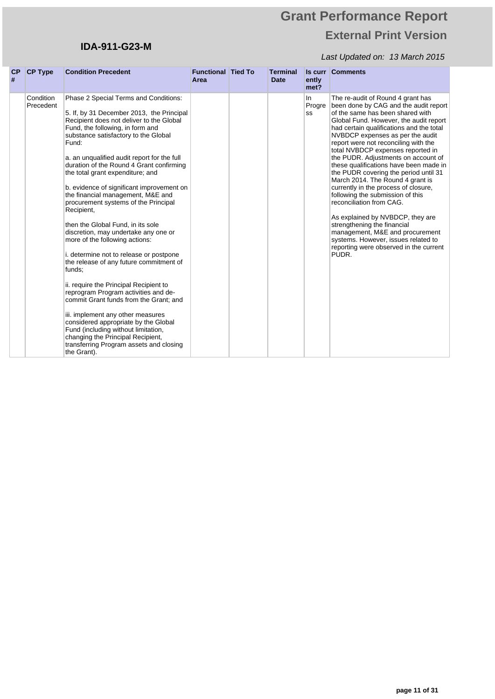## **IDA-911-G23-M**

| <b>CP</b><br># | <b>CP Type</b>         | <b>Condition Precedent</b>                                                                                                                                                                                                                                                                                                                                                                                                                                                                                                                                                                                                                                                                                                                                                                                                                                                                                                                                                                                                                               | <b>Functional Tied To</b><br>Area | <b>Terminal</b><br><b>Date</b> | ently<br>met?      | <b>Is curr Comments</b>                                                                                                                                                                                                                                                                                                                                                                                                                                                                                                                                                                                                                                                                                                                                                                     |
|----------------|------------------------|----------------------------------------------------------------------------------------------------------------------------------------------------------------------------------------------------------------------------------------------------------------------------------------------------------------------------------------------------------------------------------------------------------------------------------------------------------------------------------------------------------------------------------------------------------------------------------------------------------------------------------------------------------------------------------------------------------------------------------------------------------------------------------------------------------------------------------------------------------------------------------------------------------------------------------------------------------------------------------------------------------------------------------------------------------|-----------------------------------|--------------------------------|--------------------|---------------------------------------------------------------------------------------------------------------------------------------------------------------------------------------------------------------------------------------------------------------------------------------------------------------------------------------------------------------------------------------------------------------------------------------------------------------------------------------------------------------------------------------------------------------------------------------------------------------------------------------------------------------------------------------------------------------------------------------------------------------------------------------------|
|                | Condition<br>Precedent | Phase 2 Special Terms and Conditions:<br>5. If, by 31 December 2013, the Principal<br>Recipient does not deliver to the Global<br>Fund, the following, in form and<br>substance satisfactory to the Global<br>Fund:<br>a. an unqualified audit report for the full<br>duration of the Round 4 Grant confirming<br>the total grant expenditure; and<br>b. evidence of significant improvement on<br>the financial management, M&E and<br>procurement systems of the Principal<br>Recipient,<br>then the Global Fund, in its sole<br>discretion, may undertake any one or<br>more of the following actions:<br>i. determine not to release or postpone<br>the release of any future commitment of<br>funds;<br>ii. require the Principal Recipient to<br>reprogram Program activities and de-<br>commit Grant funds from the Grant: and<br>iii. implement any other measures<br>considered appropriate by the Global<br>Fund (including without limitation,<br>changing the Principal Recipient,<br>transferring Program assets and closing<br>the Grant). |                                   |                                | In<br>Progre<br>SS | The re-audit of Round 4 grant has<br>been done by CAG and the audit report<br>of the same has been shared with<br>Global Fund. However, the audit report<br>had certain qualifications and the total<br>NVBDCP expenses as per the audit<br>report were not reconciling with the<br>total NVBDCP expenses reported in<br>the PUDR. Adjustments on account of<br>these qualifications have been made in<br>the PUDR covering the period until 31<br>March 2014. The Round 4 grant is<br>currently in the process of closure,<br>following the submission of this<br>reconciliation from CAG.<br>As explained by NVBDCP, they are<br>strengthening the financial<br>management, M&E and procurement<br>systems. However, issues related to<br>reporting were observed in the current<br>PUDR. |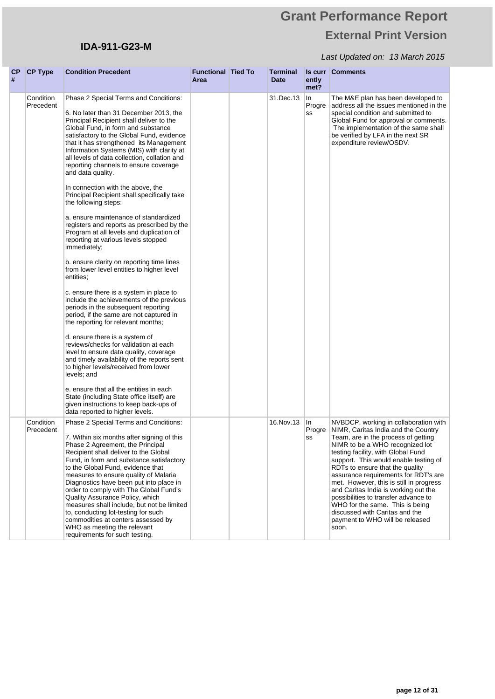## **IDA-911-G23-M**

| СP<br># | <b>CP Type</b>         | <b>Condition Precedent</b>                                                                                                                                                                                                                                                                                                                                                                                                                                                                                                                                                                                                                                                                                                                                                                                                                                                                                                                                                                                                                                                                                                                                                                                                                                                                                             | <b>Functional Tied To</b><br>Area | Terminal<br><b>Date</b> | ently<br>met?      | <b>Is curr Comments</b>                                                                                                                                                                                                                                                                                                                                                                                                                                                                                                                                      |
|---------|------------------------|------------------------------------------------------------------------------------------------------------------------------------------------------------------------------------------------------------------------------------------------------------------------------------------------------------------------------------------------------------------------------------------------------------------------------------------------------------------------------------------------------------------------------------------------------------------------------------------------------------------------------------------------------------------------------------------------------------------------------------------------------------------------------------------------------------------------------------------------------------------------------------------------------------------------------------------------------------------------------------------------------------------------------------------------------------------------------------------------------------------------------------------------------------------------------------------------------------------------------------------------------------------------------------------------------------------------|-----------------------------------|-------------------------|--------------------|--------------------------------------------------------------------------------------------------------------------------------------------------------------------------------------------------------------------------------------------------------------------------------------------------------------------------------------------------------------------------------------------------------------------------------------------------------------------------------------------------------------------------------------------------------------|
|         | Condition<br>Precedent | Phase 2 Special Terms and Conditions:<br>6. No later than 31 December 2013, the<br>Principal Recipient shall deliver to the<br>Global Fund, in form and substance<br>satisfactory to the Global Fund, evidence<br>that it has strengthened its Management<br>Information Systems (MIS) with clarity at<br>all levels of data collection, collation and<br>reporting channels to ensure coverage<br>and data quality.<br>In connection with the above, the<br>Principal Recipient shall specifically take<br>the following steps:<br>a. ensure maintenance of standardized<br>registers and reports as prescribed by the<br>Program at all levels and duplication of<br>reporting at various levels stopped<br>immediately;<br>b. ensure clarity on reporting time lines<br>from lower level entities to higher level<br>entities:<br>c. ensure there is a system in place to<br>include the achievements of the previous<br>periods in the subsequent reporting<br>period, if the same are not captured in<br>the reporting for relevant months;<br>d. ensure there is a system of<br>reviews/checks for validation at each<br>level to ensure data quality, coverage<br>and timely availability of the reports sent<br>to higher levels/received from lower<br>levels; and<br>e. ensure that all the entities in each |                                   | 31.Dec.13               | In<br>Progre<br>SS | The M&E plan has been developed to<br>address all the issues mentioned in the<br>special condition and submitted to<br>Global Fund for approval or comments.<br>The implementation of the same shall<br>be verified by LFA in the next SR<br>expenditure review/OSDV.                                                                                                                                                                                                                                                                                        |
|         |                        | State (including State office itself) are<br>given instructions to keep back-ups of<br>data reported to higher levels.                                                                                                                                                                                                                                                                                                                                                                                                                                                                                                                                                                                                                                                                                                                                                                                                                                                                                                                                                                                                                                                                                                                                                                                                 |                                   |                         |                    |                                                                                                                                                                                                                                                                                                                                                                                                                                                                                                                                                              |
|         | Condition<br>Precedent | Phase 2 Special Terms and Conditions:<br>7. Within six months after signing of this<br>Phase 2 Agreement, the Principal<br>Recipient shall deliver to the Global<br>Fund, in form and substance satisfactory<br>to the Global Fund, evidence that<br>measures to ensure quality of Malaria<br>Diagnostics have been put into place in<br>order to comply with The Global Fund's<br>Quality Assurance Policy, which<br>measures shall include, but not be limited<br>to, conducting lot-testing for such<br>commodities at centers assessed by<br>WHO as meeting the relevant<br>requirements for such testing.                                                                                                                                                                                                                                                                                                                                                                                                                                                                                                                                                                                                                                                                                                         |                                   | 16. Nov. 13             | In<br>Progre<br>SS | NVBDCP, working in collaboration with<br>NIMR, Caritas India and the Country<br>Team, are in the process of getting<br>NIMR to be a WHO recognized lot<br>testing facility, with Global Fund<br>support. This would enable testing of<br>RDTs to ensure that the quality<br>assurance requirements for RDT's are<br>met. However, this is still in progress<br>and Caritas India is working out the<br>possibilities to transfer advance to<br>WHO for the same. This is being<br>discussed with Caritas and the<br>payment to WHO will be released<br>soon. |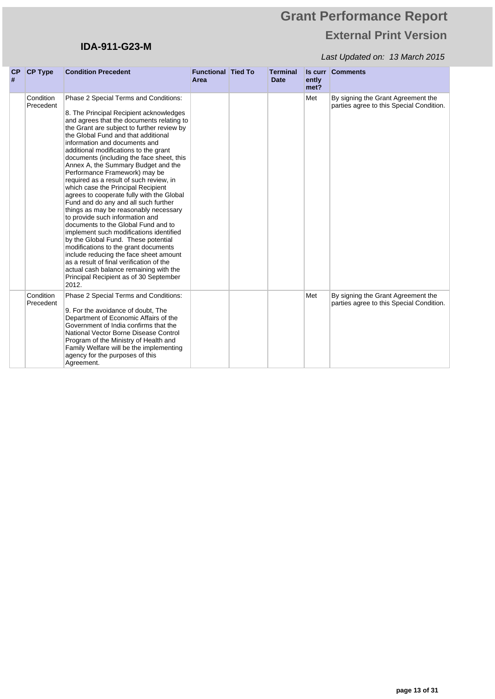## **IDA-911-G23-M**

| CP<br># | <b>CP Type</b>         | <b>Condition Precedent</b>                                                                                                                                                                                                                                                                                                                                                                                                                                                                                                                                                                                                                                                                                                                                                                                                                                                                                                                                                                                              | <b>Functional Tied To</b><br>Area | <b>Terminal</b><br><b>Date</b> | ently<br>met? | <b>Is curr Comments</b>                                                        |
|---------|------------------------|-------------------------------------------------------------------------------------------------------------------------------------------------------------------------------------------------------------------------------------------------------------------------------------------------------------------------------------------------------------------------------------------------------------------------------------------------------------------------------------------------------------------------------------------------------------------------------------------------------------------------------------------------------------------------------------------------------------------------------------------------------------------------------------------------------------------------------------------------------------------------------------------------------------------------------------------------------------------------------------------------------------------------|-----------------------------------|--------------------------------|---------------|--------------------------------------------------------------------------------|
|         | Condition<br>Precedent | Phase 2 Special Terms and Conditions:<br>8. The Principal Recipient acknowledges<br>and agrees that the documents relating to<br>the Grant are subject to further review by<br>the Global Fund and that additional<br>information and documents and<br>additional modifications to the grant<br>documents (including the face sheet, this<br>Annex A, the Summary Budget and the<br>Performance Framework) may be<br>required as a result of such review, in<br>which case the Principal Recipient<br>agrees to cooperate fully with the Global<br>Fund and do any and all such further<br>things as may be reasonably necessary<br>to provide such information and<br>documents to the Global Fund and to<br>implement such modifications identified<br>by the Global Fund. These potential<br>modifications to the grant documents<br>include reducing the face sheet amount<br>as a result of final verification of the<br>actual cash balance remaining with the<br>Principal Recipient as of 30 September<br>2012. |                                   |                                | Met           | By signing the Grant Agreement the<br>parties agree to this Special Condition. |
|         | Condition<br>Precedent | Phase 2 Special Terms and Conditions:<br>9. For the avoidance of doubt, The<br>Department of Economic Affairs of the<br>Government of India confirms that the<br>National Vector Borne Disease Control<br>Program of the Ministry of Health and<br>Family Welfare will be the implementing<br>agency for the purposes of this<br>Agreement.                                                                                                                                                                                                                                                                                                                                                                                                                                                                                                                                                                                                                                                                             |                                   |                                | Met           | By signing the Grant Agreement the<br>parties agree to this Special Condition. |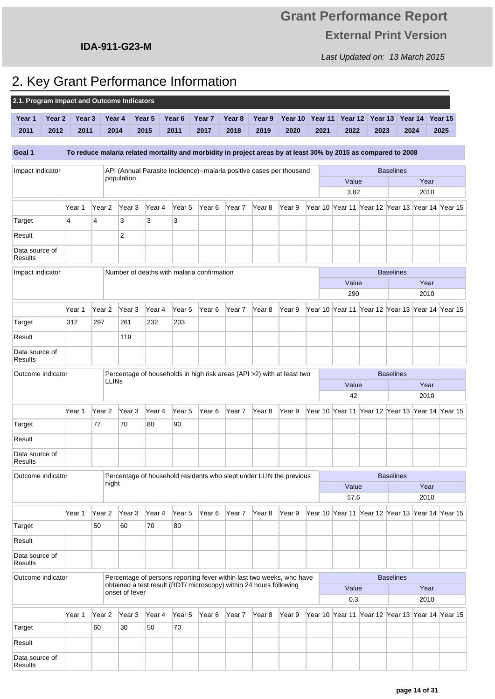Last Updated on: 13 March 2015

## **IDA-911-G23-M**

# 2. Key Grant Performance Information

| 2.1. Program Impact and Outcome Indicators |        |                   |                   |                   |        |                   |                                                                    |                   |                   |                                                                                                                |         |         |         |                  |                                                 |         |
|--------------------------------------------|--------|-------------------|-------------------|-------------------|--------|-------------------|--------------------------------------------------------------------|-------------------|-------------------|----------------------------------------------------------------------------------------------------------------|---------|---------|---------|------------------|-------------------------------------------------|---------|
| Year 1                                     | Year 2 | Year <sub>3</sub> |                   | Year 4            | Year 5 | Year <sub>6</sub> | Year <sub>7</sub>                                                  | Year <sub>8</sub> | Year 9            | Year 10                                                                                                        | Year 11 | Year 12 | Year 13 |                  | Year 14                                         | Year 15 |
| 2011                                       | 2012   | 2011              |                   | 2014              | 2015   | 2011              | 2017                                                               | 2018              | 2019              | 2020                                                                                                           | 2021    | 2022    | 2023    |                  | 2024                                            | 2025    |
|                                            |        |                   |                   |                   |        |                   |                                                                    |                   |                   |                                                                                                                |         |         |         |                  |                                                 |         |
| Goal 1                                     |        |                   |                   |                   |        |                   |                                                                    |                   |                   | To reduce malaria related mortality and morbidity in project areas by at least 30% by 2015 as compared to 2008 |         |         |         |                  |                                                 |         |
| Impact indicator                           |        |                   |                   |                   |        |                   |                                                                    |                   |                   | API (Annual Parasite Incidence)--malaria positive cases per thousand                                           |         |         |         | <b>Baselines</b> |                                                 |         |
|                                            |        |                   |                   | population        |        |                   |                                                                    |                   |                   |                                                                                                                |         | Value   |         |                  | Year                                            |         |
|                                            |        |                   |                   |                   |        |                   |                                                                    |                   |                   |                                                                                                                |         | 3.82    |         |                  | 2010                                            |         |
|                                            |        | Year 1            | Year 2            | Year 3            | Year 4 | Year 5            | Year <sub>6</sub>                                                  | Year 7            | Year 8            | Year 9                                                                                                         |         |         |         |                  | Year 10 Year 11 Year 12 Year 13 Year 14 Year 15 |         |
| Target                                     |        | $\overline{4}$    | 4                 | 3                 | 3      | 3                 |                                                                    |                   |                   |                                                                                                                |         |         |         |                  |                                                 |         |
| Result                                     |        |                   |                   | $\overline{2}$    |        |                   |                                                                    |                   |                   |                                                                                                                |         |         |         |                  |                                                 |         |
| Data source of<br>Results                  |        |                   |                   |                   |        |                   |                                                                    |                   |                   |                                                                                                                |         |         |         |                  |                                                 |         |
| Impact indicator                           |        |                   |                   |                   |        |                   | Number of deaths with malaria confirmation                         |                   |                   |                                                                                                                |         |         |         | <b>Baselines</b> |                                                 |         |
|                                            |        |                   |                   |                   |        |                   |                                                                    |                   |                   |                                                                                                                |         | Value   |         |                  | Year                                            |         |
|                                            |        |                   |                   |                   |        |                   |                                                                    |                   |                   |                                                                                                                |         | 290     |         |                  | 2010                                            |         |
|                                            |        | Year 1            | Year <sub>2</sub> | Year <sub>3</sub> | Year 4 | Year 5            | Year 6                                                             | Year 7            | Year <sub>8</sub> | Year 9                                                                                                         |         |         |         |                  | Year 10 Year 11 Year 12 Year 13 Year 14 Year 15 |         |
| Target                                     |        | 312               | 297               | 261               | 232    | 203               |                                                                    |                   |                   |                                                                                                                |         |         |         |                  |                                                 |         |
| Result                                     |        |                   |                   | 119               |        |                   |                                                                    |                   |                   |                                                                                                                |         |         |         |                  |                                                 |         |
| Data source of<br><b>Results</b>           |        |                   |                   |                   |        |                   |                                                                    |                   |                   |                                                                                                                |         |         |         |                  |                                                 |         |
| Outcome indicator                          |        |                   |                   |                   |        |                   |                                                                    |                   |                   | Percentage of households in high risk areas (API >2) with at least two                                         |         |         |         | <b>Baselines</b> |                                                 |         |
|                                            |        |                   |                   | LLIN <sub>s</sub> |        |                   |                                                                    |                   |                   |                                                                                                                |         | Value   |         |                  | Year                                            |         |
|                                            |        |                   |                   |                   |        |                   |                                                                    |                   |                   |                                                                                                                |         | 42      |         |                  | 2010                                            |         |
|                                            |        | Year 1            | Year 2            | Year 3            | Year 4 | Year 5            | Year 6                                                             | Year 7            | Year <sub>8</sub> | Year 9                                                                                                         |         |         |         |                  | Year 10 Year 11 Year 12 Year 13 Year 14 Year 15 |         |
| Target                                     |        |                   | 77                | 70                | 80     | 90                |                                                                    |                   |                   |                                                                                                                |         |         |         |                  |                                                 |         |
| Result                                     |        |                   |                   |                   |        |                   |                                                                    |                   |                   |                                                                                                                |         |         |         |                  |                                                 |         |
| Data source of<br>Results                  |        |                   |                   |                   |        |                   |                                                                    |                   |                   |                                                                                                                |         |         |         |                  |                                                 |         |
| Outcome indicator                          |        |                   |                   |                   |        |                   |                                                                    |                   |                   | Percentage of household residents who slept under LLIN the previous                                            |         |         |         | <b>Baselines</b> |                                                 |         |
|                                            |        |                   | night             |                   |        |                   |                                                                    |                   |                   |                                                                                                                |         | Value   |         |                  | Year                                            |         |
|                                            |        |                   |                   |                   |        |                   |                                                                    |                   |                   |                                                                                                                |         | 57.6    |         |                  | 2010                                            |         |
|                                            |        | Year 1            | Year 2            | Year 3            | Year 4 | Year 5            | Year 6                                                             | Year 7            | Year 8            | Year 9                                                                                                         |         |         |         |                  | Year 10 Year 11 Year 12 Year 13 Year 14 Year 15 |         |
| Target                                     |        |                   | 50                | 60                | 70     | 80                |                                                                    |                   |                   |                                                                                                                |         |         |         |                  |                                                 |         |
| Result                                     |        |                   |                   |                   |        |                   |                                                                    |                   |                   |                                                                                                                |         |         |         |                  |                                                 |         |
| Data source of<br><b>Results</b>           |        |                   |                   |                   |        |                   |                                                                    |                   |                   |                                                                                                                |         |         |         |                  |                                                 |         |
| Outcome indicator                          |        |                   |                   |                   |        |                   |                                                                    |                   |                   | Percentage of persons reporting fever within last two weeks, who have                                          |         |         |         | <b>Baselines</b> |                                                 |         |
|                                            |        |                   |                   | onset of fever    |        |                   | obtained a test result (RDT/ microscopy) within 24 hours following |                   |                   |                                                                                                                |         | Value   |         |                  | Year                                            |         |
|                                            |        |                   |                   |                   |        |                   |                                                                    |                   |                   |                                                                                                                |         | 0.3     |         |                  | 2010                                            |         |
|                                            |        | Year 1            | Year 2            | Year 3            | Year 4 | Year 5            | Year 6                                                             | Year 7            | Year 8            | Year 9                                                                                                         |         |         |         |                  | Year 10 Year 11 Year 12 Year 13 Year 14 Year 15 |         |
| Target                                     |        |                   | 60                | 30                | 50     | 70                |                                                                    |                   |                   |                                                                                                                |         |         |         |                  |                                                 |         |
| Result                                     |        |                   |                   |                   |        |                   |                                                                    |                   |                   |                                                                                                                |         |         |         |                  |                                                 |         |
| Data source of<br>Results                  |        |                   |                   |                   |        |                   |                                                                    |                   |                   |                                                                                                                |         |         |         |                  |                                                 |         |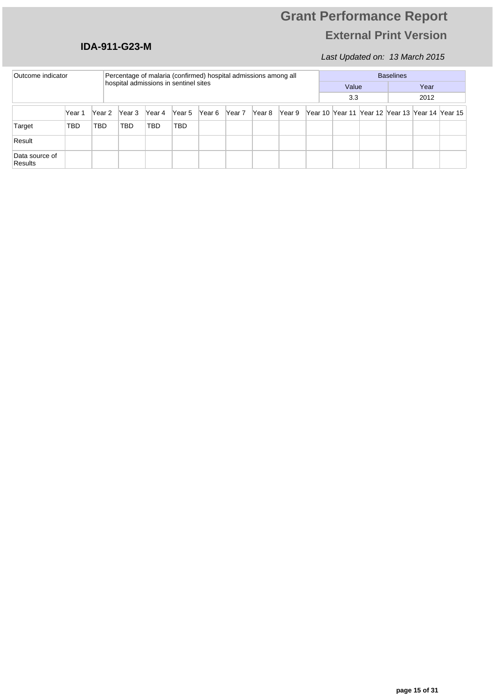### **IDA-911-G23-M**

| Outcome indicator<br>Percentage of malaria (confirmed) hospital admissions among all<br>hospital admissions in sentinel sites |            |        |        |        |        |        |        | <b>Baselines</b> |        |  |  |       |                                                 |      |      |  |  |
|-------------------------------------------------------------------------------------------------------------------------------|------------|--------|--------|--------|--------|--------|--------|------------------|--------|--|--|-------|-------------------------------------------------|------|------|--|--|
|                                                                                                                               |            |        |        |        |        |        |        |                  |        |  |  | Value |                                                 |      | Year |  |  |
|                                                                                                                               |            |        |        |        |        |        |        |                  |        |  |  | 3.3   |                                                 | 2012 |      |  |  |
|                                                                                                                               | Year 1     | Year 2 | Year 3 | Year 4 | Year 5 | Year 6 | Year 7 | Year 8           | Year 9 |  |  |       | Year 10 Year 11 Year 12 Year 13 Year 14 Year 15 |      |      |  |  |
| Target                                                                                                                        | <b>TBD</b> | TBD    | TBD    | TBD    | TBD    |        |        |                  |        |  |  |       |                                                 |      |      |  |  |
| Result                                                                                                                        |            |        |        |        |        |        |        |                  |        |  |  |       |                                                 |      |      |  |  |
| Data source of<br><b>Results</b>                                                                                              |            |        |        |        |        |        |        |                  |        |  |  |       |                                                 |      |      |  |  |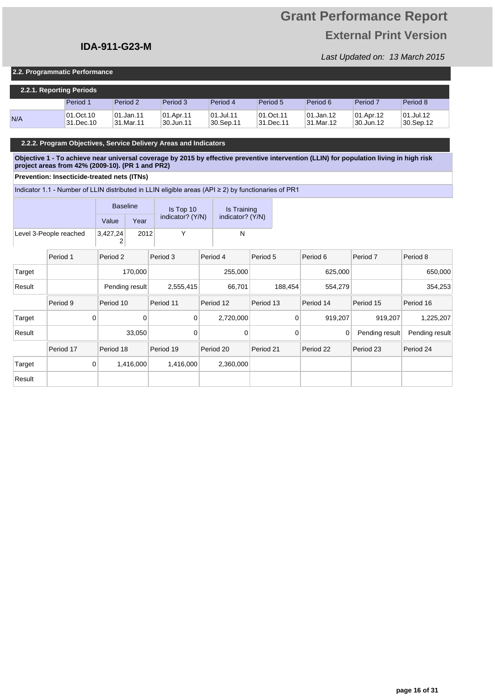# **Grant Performance Report External Print Version**

т

Last Updated on: 13 March 2015

#### **2.2. Programmatic Performance**

| 2.2.1. Reporting Periods |                        |                        |                        |                            |                        |                          |                        |                        |  |  |  |  |
|--------------------------|------------------------|------------------------|------------------------|----------------------------|------------------------|--------------------------|------------------------|------------------------|--|--|--|--|
|                          | Period 1               | Period 2               | Period 3               | Period 4                   | Period 5               | Period 6                 | Period <sub>7</sub>    | Period 8               |  |  |  |  |
| N/A                      | 01.Oct.10<br>31.Dec.10 | 01.Jan.11<br>31.Mar.11 | 01.Apr.11<br>30.Jun.11 | $ 01.J$ ul.11<br>30.Sep.11 | 01.Oct.11<br>31.Dec.11 | 101.Jan.12<br>!31.Mar.12 | 01.Apr.12<br>30.Jun.12 | 01.Jul.12<br>30.Sep.12 |  |  |  |  |

#### **2.2.2. Program Objectives, Service Delivery Areas and Indicators**

**Objective 1 - To achieve near universal coverage by 2015 by effective preventive intervention (LLIN) for population living in high risk project areas from 42% (2009-10). (PR 1 and PR2)**

#### **Prevention: Insecticide-treated nets (ITNs)**

Indicator 1.1 - Number of LLIN distributed in LLIN eligible areas (API  $\geq$  2) by functionaries of PR1

|                        |  | <b>Baseline</b> |      | Is Top 10        | Is Training      |  |  |
|------------------------|--|-----------------|------|------------------|------------------|--|--|
|                        |  |                 | Year | indicator? (Y/N) | indicator? (Y/N) |  |  |
| Level 3-People reached |  | 3,427,24        | 2012 |                  |                  |  |  |
|                        |  |                 |      |                  |                  |  |  |

|        | Period 1       | Period 2       | Period 3       | Period 4  | Period 5  | Period 6  | Period <sub>7</sub> | Period 8       |
|--------|----------------|----------------|----------------|-----------|-----------|-----------|---------------------|----------------|
| Target |                | 170,000        |                | 255,000   |           | 625,000   |                     | 650,000        |
| Result |                | Pending result | 2,555,415      | 66,701    | 188.454   | 554.279   |                     | 354,253        |
|        | Period 9       | Period 10      | Period 11      | Period 12 | Period 13 | Period 14 | Period 15           | Period 16      |
| Target | $\overline{0}$ | 0              | $\overline{0}$ | 2,720,000 | 0         | 919,207   | 919,207             | 1,225,207      |
| Result |                | 33,050         | $\mathbf{0}$   | 0         | 0         | 0         | Pending result      | Pending result |
|        | Period 17      | Period 18      | Period 19      | Period 20 | Period 21 | Period 22 | Period 23           | Period 24      |
| Target | $\overline{0}$ | 1,416,000      | 1,416,000      | 2,360,000 |           |           |                     |                |
| Result |                |                |                |           |           |           |                     |                |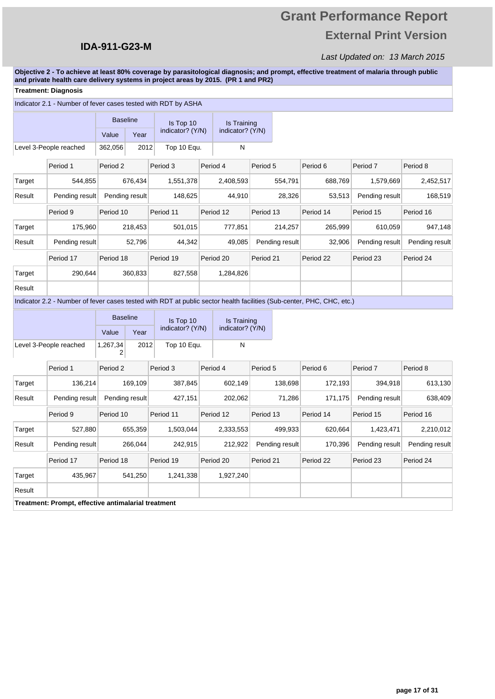# **Grant Performance Report External Print Version**

### Last Updated on: 13 March 2015

**Objective 2 - To achieve at least 80% coverage by parasitological diagnosis; and prompt, effective treatment of malaria through public and private health care delivery systems in project areas by 2015. (PR 1 and PR2)**

### **Treatment: Diagnosis**

|        | Indicator 2.1 - Number of fever cases tested with RDT by ASHA                                                         |                     |                 |                  |           |                  |                |         |           |                |                |
|--------|-----------------------------------------------------------------------------------------------------------------------|---------------------|-----------------|------------------|-----------|------------------|----------------|---------|-----------|----------------|----------------|
|        |                                                                                                                       | <b>Baseline</b>     |                 | Is Top 10        |           | Is Training      |                |         |           |                |                |
|        |                                                                                                                       | Value               | Year            | indicator? (Y/N) |           | indicator? (Y/N) |                |         |           |                |                |
|        | Level 3-People reached                                                                                                | 362,056             | 2012            | Top 10 Equ.      |           | N                |                |         |           |                |                |
|        | Period 1                                                                                                              | Period 2            |                 | Period 3         | Period 4  |                  | Period 5       |         | Period 6  | Period 7       | Period 8       |
| Target | 544,855                                                                                                               |                     | 676,434         | 1,551,378        | 2,408,593 |                  |                | 554,791 | 688,769   | 1,579,669      | 2,452,517      |
| Result | Pending result                                                                                                        |                     | Pending result  | 148,625          | 44,910    |                  | 28,326         |         | 53,513    | Pending result | 168,519        |
|        | Period 9                                                                                                              | Period 10           |                 | Period 11        | Period 12 |                  | Period 13      |         | Period 14 | Period 15      | Period 16      |
| Target | 175,960                                                                                                               |                     | 218,453         | 501,015          | 777,851   |                  | 214,257        |         | 265,999   | 610,059        | 947,148        |
| Result | Pending result                                                                                                        |                     | 52,796          | 44,342           |           | 49,085           | Pending result |         | 32,906    | Pending result | Pending result |
|        | Period 17                                                                                                             | Period 18           |                 | Period 19        | Period 20 |                  | Period 21      |         | Period 22 | Period 23      | Period 24      |
| Target | 290,644                                                                                                               |                     | 360,833         | 827,558          | 1,284,826 |                  |                |         |           |                |                |
| Result |                                                                                                                       |                     |                 |                  |           |                  |                |         |           |                |                |
|        | Indicator 2.2 - Number of fever cases tested with RDT at public sector health facilities (Sub-center, PHC, CHC, etc.) |                     |                 |                  |           |                  |                |         |           |                |                |
|        |                                                                                                                       |                     | <b>Baseline</b> | Is Top 10        |           | Is Training      |                |         |           |                |                |
|        |                                                                                                                       | Value               | Year            | indicator? (Y/N) |           | indicator? (Y/N) |                |         |           |                |                |
|        | Level 3-People reached                                                                                                | 1,267,34<br>2       | 2012            | Top 10 Equ.      |           | N                |                |         |           |                |                |
|        | Period 1                                                                                                              | Period <sub>2</sub> |                 | Period 3         | Period 4  |                  | Period 5       |         | Period 6  | Period 7       | Period 8       |
| Target | 136,214                                                                                                               |                     | 169,109         | 387,845          |           | 602,149          |                | 138,698 | 172,193   | 394,918        | 613,130        |
| Result | Pending result                                                                                                        |                     | Pending result  | 427,151          |           | 202,062          |                | 71,286  | 171,175   | Pending result | 638,409        |
|        | Period 9                                                                                                              | Period 10           |                 | Period 11        | Period 12 |                  | Period 13      |         | Period 14 | Period 15      | Period 16      |
| Target | 527,880                                                                                                               |                     | 655,359         | 1,503,044        | 2,333,553 |                  |                | 499,933 | 620,664   | 1,423,471      | 2,210,012      |
| Result | Pending result                                                                                                        |                     | 266,044         | 242,915          |           | 212,922          | Pending result |         | 170,396   | Pending result | Pending result |
|        | Period 17                                                                                                             | Period 18           |                 | Period 19        | Period 20 |                  | Period 21      |         | Period 22 | Period 23      | Period 24      |
| Target | 435,967                                                                                                               |                     | 541,250         | 1,241,338        | 1,927,240 |                  |                |         |           |                |                |
| Result |                                                                                                                       |                     |                 |                  |           |                  |                |         |           |                |                |
|        | Treatment: Prompt, effective antimalarial treatment                                                                   |                     |                 |                  |           |                  |                |         |           |                |                |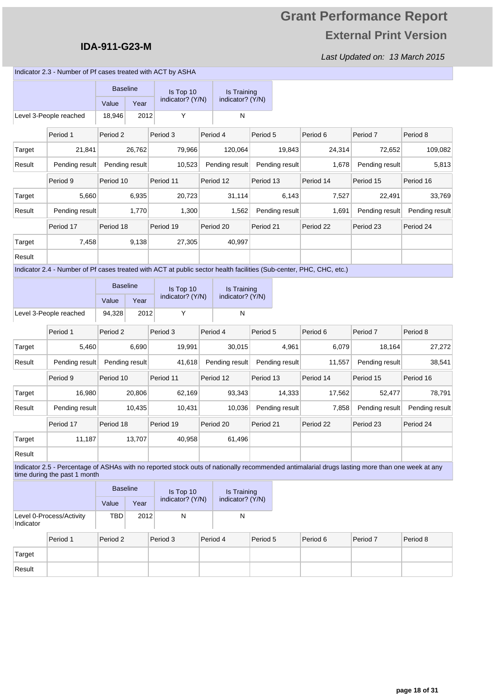### **IDA-911-G23-M**

Last Updated on: 13 March 2015

Indicator 2.3 - Number of Pf cases treated with ACT by ASHA

|        |                                                                                                                     | <b>Baseline</b> |        | Is Top 10        |          | Is Training        |           |                |           |                |                |
|--------|---------------------------------------------------------------------------------------------------------------------|-----------------|--------|------------------|----------|--------------------|-----------|----------------|-----------|----------------|----------------|
|        |                                                                                                                     | Value           | Year   | indicator? (Y/N) |          | indicator? (Y/N)   |           |                |           |                |                |
|        | Level 3-People reached                                                                                              | 18,946          | 2012   | Υ                |          | N                  |           |                |           |                |                |
|        | Period 1                                                                                                            | Period 2        |        | Period 3         | Period 4 |                    | Period 5  |                | Period 6  | Period 7       | Period 8       |
| Target | 21,841                                                                                                              |                 | 26,762 | 79,966           |          | 120,064            |           | 19,843         | 24,314    | 72,652         | 109,082        |
| Result | Pending result                                                                                                      | Pending result  |        | 10,523           |          | Pending result     |           | Pending result | 1,678     | Pending result | 5,813          |
|        | Period 9                                                                                                            | Period 10       |        | Period 11        |          | Period 12          | Period 13 |                | Period 14 | Period 15      | Period 16      |
| Target | 5,660                                                                                                               |                 | 6,935  | 20,723           |          | 31,114             |           | 6,143          | 7,527     | 22,491         | 33,769         |
| Result | Pending result                                                                                                      |                 | 1,770  | 1,300            |          | 1,562              |           | Pending result | 1,691     | Pending result | Pending result |
|        | Period 17                                                                                                           | Period 18       |        | Period 19        |          | Period 20          | Period 21 |                | Period 22 | Period 23      | Period 24      |
| Target | 7,458                                                                                                               |                 | 9,138  | 27,305           |          | 40,997             |           |                |           |                |                |
| Result |                                                                                                                     |                 |        |                  |          |                    |           |                |           |                |                |
|        | Indicator 2.4 - Number of Pf cases treated with ACT at public sector health facilities (Sub-center, PHC, CHC, etc.) |                 |        |                  |          |                    |           |                |           |                |                |
|        |                                                                                                                     | <b>Baseline</b> |        | Is Top 10        |          | <b>Is Training</b> |           |                |           |                |                |
|        |                                                                                                                     | Value           | Year   | indicator? (Y/N) |          | indicator? (Y/N)   |           |                |           |                |                |
|        | Level 3-People reached                                                                                              | 94,328          | 2012   | Y                |          | N                  |           |                |           |                |                |

|        | Period 1       | Period 2       | Period 3  | Period 4       | Period 5       | Period 6  | Period <sub>7</sub> | Period 8       |
|--------|----------------|----------------|-----------|----------------|----------------|-----------|---------------------|----------------|
| Target | 5,460          | 6,690          | 19,991    | 30,015         | 4,961          | 6,079     | 18,164              | 27,272         |
| Result | Pending result | Pending result | 41,618    | Pending result | Pending result | 11,557    | Pending result      | 38,541         |
|        | Period 9       | Period 10      | Period 11 | Period 12      | Period 13      | Period 14 | Period 15           | Period 16      |
| Target | 16,980         | 20,806         | 62,169    | 93,343         | 14,333         | 17,562    | 52,477              | 78,791         |
| Result | Pending result | 10,435         | 10,431    | 10,036         | Pending result | 7,858     | Pending result      | Pending result |
|        | Period 17      | Period 18      | Period 19 | Period 20      | Period 21      | Period 22 | Period 23           | Period 24      |
| Target | 11,187         | 13,707         | 40,958    | 61,496         |                |           |                     |                |
| Result |                |                |           |                |                |           |                     |                |

ı J. Indicator 2.5 - Percentage of ASHAs with no reported stock outs of nationally recommended antimalarial drugs lasting more than one week at any time during the past 1 month

|                                       | <b>Baseline</b> |      | Is Top 10        | Is Training      |  |
|---------------------------------------|-----------------|------|------------------|------------------|--|
|                                       | Value           | Year | indicator? (Y/N) | indicator? (Y/N) |  |
| Level 0-Process/Activity<br>Indicator | TBD             | 2012 |                  |                  |  |

|        | Period 1 | Period 2 | Period 3 | Period 4 | Period 5 | Period 6 | Period 7 | Period 8 |
|--------|----------|----------|----------|----------|----------|----------|----------|----------|
| Target |          |          |          |          |          |          |          |          |
| Result |          |          |          |          |          |          |          |          |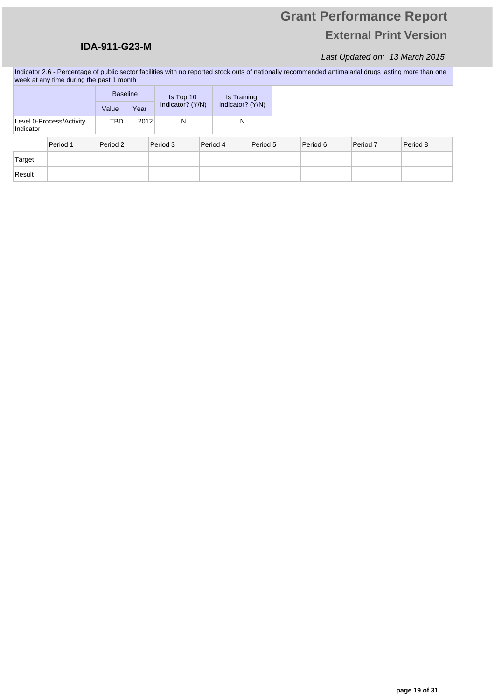### **IDA-911-G23-M**

### Last Updated on: 13 March 2015

Indicator 2.6 - Percentage of public sector facilities with no reported stock outs of nationally recommended antimalarial drugs lasting more than one week at any time during the past 1 month

|                                       |  | <b>Baseline</b> |      |          | Is Top 10        |  | Is Training      |          |          |          |          |
|---------------------------------------|--|-----------------|------|----------|------------------|--|------------------|----------|----------|----------|----------|
|                                       |  | Value           | Year |          | indicator? (Y/N) |  | indicator? (Y/N) |          |          |          |          |
| Level 0-Process/Activity<br>Indicator |  | TBD             | 2012 |          | N                |  | N                |          |          |          |          |
| Period 1                              |  | Period 2        |      | Period 3 |                  |  | Period 4         | Period 5 | Period 6 | Period 7 | Period 8 |
| Target                                |  |                 |      |          |                  |  |                  |          |          |          |          |
| Result                                |  |                 |      |          |                  |  |                  |          |          |          |          |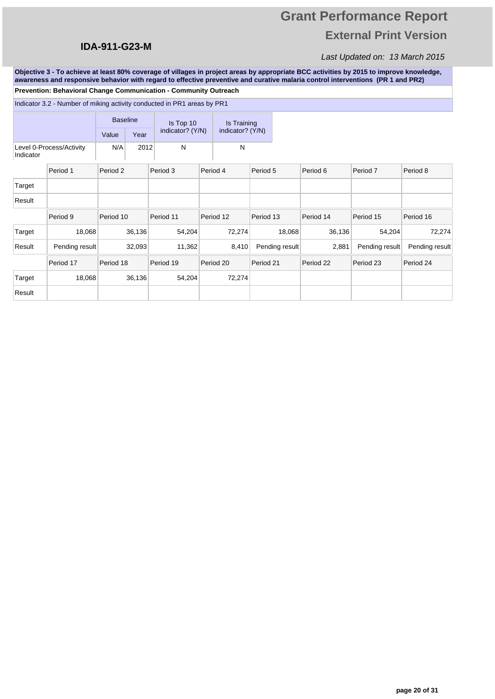### **IDA-911-G23-M**

## Last Updated on: 13 March 2015

**Objective 3 - To achieve at least 80% coverage of villages in project areas by appropriate BCC activities by 2015 to improve knowledge, awareness and responsive behavior with regard to effective preventive and curative malaria control interventions (PR 1 and PR2)**

**Prevention: Behavioral Change Communication - Community Outreach**

|           | Indicator 3.2 - Number of miking activity conducted in PR1 areas by PR1 |                 |        |                  |                  |                |           |                |                |
|-----------|-------------------------------------------------------------------------|-----------------|--------|------------------|------------------|----------------|-----------|----------------|----------------|
|           |                                                                         | <b>Baseline</b> |        | Is Top 10        | Is Training      |                |           |                |                |
|           |                                                                         | Value           | Year   | indicator? (Y/N) | indicator? (Y/N) |                |           |                |                |
| Indicator | Level 0-Process/Activity                                                | N/A             | 2012   | N                | N                |                |           |                |                |
|           | Period 1                                                                | Period 2        |        | Period 3         | Period 4         | Period 5       | Period 6  | Period 7       | Period 8       |
| Target    |                                                                         |                 |        |                  |                  |                |           |                |                |
| Result    |                                                                         |                 |        |                  |                  |                |           |                |                |
|           | Period 9                                                                | Period 10       |        | Period 11        | Period 12        | Period 13      | Period 14 | Period 15      | Period 16      |
| Target    | 18,068                                                                  |                 | 36,136 | 54,204           | 72,274           | 18,068         | 36,136    | 54,204         | 72,274         |
| Result    | Pending result                                                          |                 | 32,093 | 11,362           | 8,410            | Pending result | 2,881     | Pending result | Pending result |
|           | Period 17                                                               | Period 18       |        | Period 19        | Period 20        | Period 21      | Period 22 | Period 23      | Period 24      |
| Target    | 18,068                                                                  |                 | 36,136 | 54,204           | 72,274           |                |           |                |                |
| Result    |                                                                         |                 |        |                  |                  |                |           |                |                |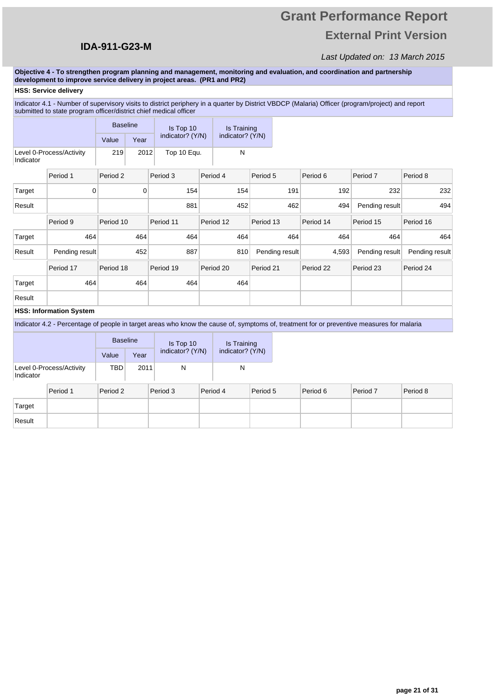# **Grant Performance Report External Print Version**

#### Last Updated on: 13 March 2015

**Objective 4 - To strengthen program planning and management, monitoring and evaluation, and coordination and partnership development to improve service delivery in project areas. (PR1 and PR2)**

#### **HSS: Service delivery**

Indicator 4.1 - Number of supervisory visits to district periphery in a quarter by District VBDCP (Malaria) Officer (program/project) and report submitted to state program officer/district chief medical officer

|           |                                | <b>Baseline</b> |      | Is Top 10        | Is Training      |                |           |                |                |
|-----------|--------------------------------|-----------------|------|------------------|------------------|----------------|-----------|----------------|----------------|
|           |                                | Value           | Year | indicator? (Y/N) | indicator? (Y/N) |                |           |                |                |
| Indicator | Level 0-Process/Activity       | 219             | 2012 | Top 10 Equ.      | N                |                |           |                |                |
|           | Period 1                       | Period 2        |      | Period 3         | Period 4         | Period 5       | Period 6  | Period 7       | Period 8       |
| Target    | 0                              |                 | 0    | 154              | 154              | 191            | 192       | 232            | 232            |
| Result    |                                |                 |      | 881              | 452              | 462            | 494       | Pending result | 494            |
|           | Period 9                       | Period 10       |      | Period 11        | Period 12        | Period 13      | Period 14 | Period 15      | Period 16      |
| Target    | 464                            |                 | 464  | 464              | 464              | 464            | 464       | 464            | 464            |
| Result    | Pending result                 |                 | 452  | 887              | 810              | Pending result | 4,593     | Pending result | Pending result |
|           | Period 17                      | Period 18       |      | Period 19        | Period 20        | Period 21      | Period 22 | Period 23      | Period 24      |
| Target    | 464                            |                 | 464  | 464              | 464              |                |           |                |                |
| Result    |                                |                 |      |                  |                  |                |           |                |                |
|           | <b>HSS: Information System</b> |                 |      |                  |                  |                |           |                |                |

Indicator 4.2 - Percentage of people in target areas who know the cause of, symptoms of, treatment for or preventive measures for malaria

|           |                          | <b>Baseline</b>     |      | Is Top 10           |                                      | Is Training |          |
|-----------|--------------------------|---------------------|------|---------------------|--------------------------------------|-------------|----------|
|           |                          | Value               | Year |                     | indicator? (Y/N)<br>indicator? (Y/N) |             |          |
| Indicator | Level 0-Process/Activity | TBD                 | 2011 |                     |                                      | N           |          |
|           | Doriod 1                 | Doriod <sub>2</sub> |      | Doriod <sup>9</sup> |                                      | Doriod 4    | Doriod I |

|        | Period 1 | Period 2 | Period 3 | Period 4 | Period 5 | Period 6 | Period 7 | Period 8 |
|--------|----------|----------|----------|----------|----------|----------|----------|----------|
| Target |          |          |          |          |          |          |          |          |
| Result |          |          |          |          |          |          |          |          |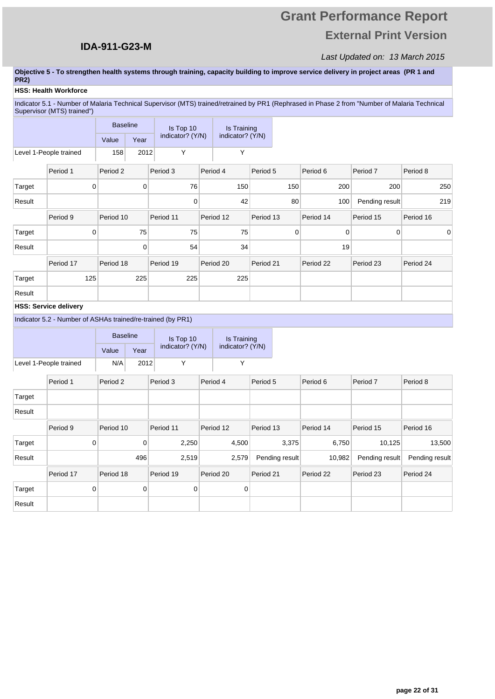Target 0 0 0 0

Result

# **Grant Performance Report External Print Version**

### Last Updated on: 13 March 2015

#### **Objective 5 - To strengthen health systems through training, capacity building to improve service delivery in project areas (PR 1 and PR2)**

#### **HSS: Health Workforce**

Indicator 5.1 - Number of Malaria Technical Supervisor (MTS) trained/retrained by PR1 (Rephrased in Phase 2 from "Number of Malaria Technical Supervisor (MTS) trained")

|        |                                                             | <b>Baseline</b>     |      | Is Top 10        |          | Is Training      |           |                |             |                     |                |
|--------|-------------------------------------------------------------|---------------------|------|------------------|----------|------------------|-----------|----------------|-------------|---------------------|----------------|
|        |                                                             | Value               | Year | indicator? (Y/N) |          | indicator? (Y/N) |           |                |             |                     |                |
|        | Level 1-People trained                                      | 158                 | 2012 | Υ                |          | Y                |           |                |             |                     |                |
|        | Period 1                                                    | Period 2            |      | Period 3         | Period 4 |                  | Period 5  |                | Period 6    | Period <sub>7</sub> | Period 8       |
| Target | $\mathbf 0$                                                 |                     | 0    | 76               |          | 150              |           | 150            | 200         | 200                 | 250            |
| Result |                                                             |                     |      | $\mathbf 0$      |          | 42               |           | 80             | 100         | Pending result      | 219            |
|        | Period 9                                                    | Period 10           |      | Period 11        |          | Period 12        | Period 13 |                | Period 14   | Period 15           | Period 16      |
| Target | $\mathbf 0$                                                 |                     | 75   | 75               |          | 75               |           | $\mathbf 0$    | $\mathbf 0$ | $\mathbf 0$         | 0              |
| Result |                                                             |                     | 0    | 54               |          | 34               |           |                | 19          |                     |                |
|        | Period 17                                                   | Period 18           |      | Period 19        |          | Period 20        | Period 21 |                | Period 22   | Period 23           | Period 24      |
| Target | 125                                                         |                     | 225  | 225              |          | 225              |           |                |             |                     |                |
| Result |                                                             |                     |      |                  |          |                  |           |                |             |                     |                |
|        | <b>HSS: Service delivery</b>                                |                     |      |                  |          |                  |           |                |             |                     |                |
|        | Indicator 5.2 - Number of ASHAs trained/re-trained (by PR1) |                     |      |                  |          |                  |           |                |             |                     |                |
|        |                                                             | <b>Baseline</b>     |      | Is Top 10        |          | Is Training      |           |                |             |                     |                |
|        |                                                             | Value               | Year | indicator? (Y/N) |          | indicator? (Y/N) |           |                |             |                     |                |
|        | Level 1-People trained                                      | N/A                 | 2012 | Υ                |          | Y                |           |                |             |                     |                |
|        | Period 1                                                    | Period <sub>2</sub> |      | Period 3         | Period 4 |                  | Period 5  |                | Period 6    | Period <sub>7</sub> | Period 8       |
| Target |                                                             |                     |      |                  |          |                  |           |                |             |                     |                |
| Result |                                                             |                     |      |                  |          |                  |           |                |             |                     |                |
|        | Period 9                                                    | Period 10           |      | Period 11        |          | Period 12        | Period 13 |                | Period 14   | Period 15           | Period 16      |
| Target | $\mathbf 0$                                                 |                     | 0    | 2,250            |          | 4,500            |           | 3,375          | 6,750       | 10,125              | 13,500         |
| Result |                                                             |                     | 496  | 2,519            |          | 2,579            |           | Pending result | 10,982      | Pending result      | Pending result |
|        | Period 17                                                   | Period 18           |      | Period 19        |          | Period 20        | Period 21 |                | Period 22   | Period 23           | Period 24      |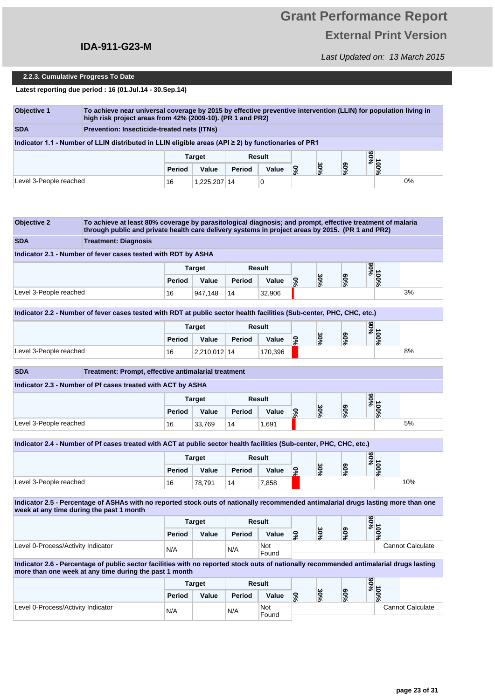## **IDA-911-G23-M**

Last Updated on: 13 March 2015

#### **2.2.3. Cumulative Progress To Date**

**Latest reporting due period : 16 (01.Jul.14 - 30.Sep.14)**

| <b>Objective 1</b>                                         | To achieve near universal coverage by 2015 by effective preventive intervention (LLIN) for population living in<br>high risk project areas from 42% (2009-10). (PR 1 and PR2) |        |               |        |        |    |    |        |              |  |  |  |  |
|------------------------------------------------------------|-------------------------------------------------------------------------------------------------------------------------------------------------------------------------------|--------|---------------|--------|--------|----|----|--------|--------------|--|--|--|--|
| <b>SDA</b>                                                 | Prevention: Insecticide-treated nets (ITNs)                                                                                                                                   |        |               |        |        |    |    |        |              |  |  |  |  |
|                                                            | Indicator 1.1 - Number of LLIN distributed in LLIN eligible areas (API $\geq$ 2) by functionaries of PR1                                                                      |        |               |        |        |    |    |        |              |  |  |  |  |
|                                                            |                                                                                                                                                                               |        | <b>Target</b> |        | Result |    |    |        |              |  |  |  |  |
|                                                            |                                                                                                                                                                               | Period | Value         | Period | Value  | కి | 9% | $96\%$ | %00L<br>%00L |  |  |  |  |
| $0\%$<br>Level 3-People reached<br>1,225,207 14<br>16<br>0 |                                                                                                                                                                               |        |               |        |        |    |    |        |              |  |  |  |  |

| <b>Objective 2</b>                 | To achieve at least 80% coverage by parasitological diagnosis; and prompt, effective treatment of malaria<br>through public and private health care delivery systems in project areas by 2015. (PR 1 and PR2) |               |                        |               |                     |                       |     |                  |             |                         |
|------------------------------------|---------------------------------------------------------------------------------------------------------------------------------------------------------------------------------------------------------------|---------------|------------------------|---------------|---------------------|-----------------------|-----|------------------|-------------|-------------------------|
| <b>SDA</b>                         | <b>Treatment: Diagnosis</b>                                                                                                                                                                                   |               |                        |               |                     |                       |     |                  |             |                         |
|                                    | Indicator 2.1 - Number of fever cases tested with RDT by ASHA                                                                                                                                                 |               |                        |               |                     |                       |     |                  |             |                         |
|                                    |                                                                                                                                                                                                               |               | <b>Target</b>          |               | <b>Result</b>       |                       |     |                  | %06         |                         |
|                                    |                                                                                                                                                                                                               | Period        | Value                  | Period        | Value               | $\mathbf{S}^{\prime}$ | 30% | $60\%$           | 100%        |                         |
| Level 3-People reached             |                                                                                                                                                                                                               | 16            | 947,148                | 14            | 32,906              |                       |     |                  |             | 3%                      |
|                                    | Indicator 2.2 - Number of fever cases tested with RDT at public sector health facilities (Sub-center, PHC, CHC, etc.)                                                                                         |               |                        |               |                     |                       |     |                  |             |                         |
|                                    |                                                                                                                                                                                                               |               | <b>Target</b>          |               | <b>Result</b>       |                       |     |                  | %06         |                         |
|                                    |                                                                                                                                                                                                               | Period        | Value                  | Period        | Value               | 0%                    | 30% | 900 <sub>6</sub> | 100%        |                         |
| Level 3-People reached             |                                                                                                                                                                                                               | 16            | 2,210,012 14           |               | 170,396             |                       |     |                  |             | 8%                      |
| <b>SDA</b>                         | Treatment: Prompt, effective antimalarial treatment                                                                                                                                                           |               |                        |               |                     |                       |     |                  |             |                         |
|                                    | Indicator 2.3 - Number of Pf cases treated with ACT by ASHA                                                                                                                                                   |               |                        |               |                     |                       |     |                  |             |                         |
|                                    |                                                                                                                                                                                                               |               |                        |               |                     |                       |     |                  |             |                         |
|                                    |                                                                                                                                                                                                               | Period        | <b>Target</b><br>Value | <b>Period</b> | Result<br>Value     |                       | 30% | $60\%$           | %06<br>100% |                         |
| Level 3-People reached             |                                                                                                                                                                                                               | 16            | 33.769                 | 14            | 1,691               | <b>S</b>              |     |                  |             | 5%                      |
|                                    |                                                                                                                                                                                                               |               |                        |               |                     |                       |     |                  |             |                         |
|                                    | Indicator 2.4 - Number of Pf cases treated with ACT at public sector health facilities (Sub-center, PHC, CHC, etc.)                                                                                           |               |                        |               |                     |                       |     |                  |             |                         |
|                                    |                                                                                                                                                                                                               |               | <b>Target</b>          |               | Result              |                       |     |                  | %06         |                         |
|                                    |                                                                                                                                                                                                               | Period        | Value                  | Period        | Value               | %                     | 30% | $60\%$           | 100%        |                         |
| Level 3-People reached             |                                                                                                                                                                                                               | 16            | 78,791                 | 14            | 7,858               |                       |     |                  |             | 10%                     |
|                                    | Indicator 2.5 - Percentage of ASHAs with no reported stock outs of nationally recommended antimalarial drugs lasting more than one                                                                            |               |                        |               |                     |                       |     |                  |             |                         |
|                                    | week at any time during the past 1 month                                                                                                                                                                      |               |                        |               | <b>Result</b>       |                       |     |                  |             |                         |
|                                    |                                                                                                                                                                                                               | <b>Period</b> | <b>Target</b><br>Value | Period        | Value               | 0%                    | 30% | $960\%$          | %66<br>100% |                         |
| Level 0-Process/Activity Indicator |                                                                                                                                                                                                               | N/A           |                        | N/A           | Not                 |                       |     |                  |             | <b>Cannot Calculate</b> |
|                                    |                                                                                                                                                                                                               |               |                        |               | Found               |                       |     |                  |             |                         |
|                                    | Indicator 2.6 - Percentage of public sector facilities with no reported stock outs of nationally recommended antimalarial drugs lasting<br>more than one week at any time during the past 1 month             |               |                        |               |                     |                       |     |                  |             |                         |
|                                    |                                                                                                                                                                                                               |               | <b>Target</b>          |               | Result              |                       |     |                  | %66         |                         |
|                                    |                                                                                                                                                                                                               | Period        | Value                  | Period        | Value               | %                     | 30% | %09              | 100%        |                         |
| Level 0-Process/Activity Indicator |                                                                                                                                                                                                               | N/A           |                        | N/A           | <b>Not</b><br>Found |                       |     |                  |             | <b>Cannot Calculate</b> |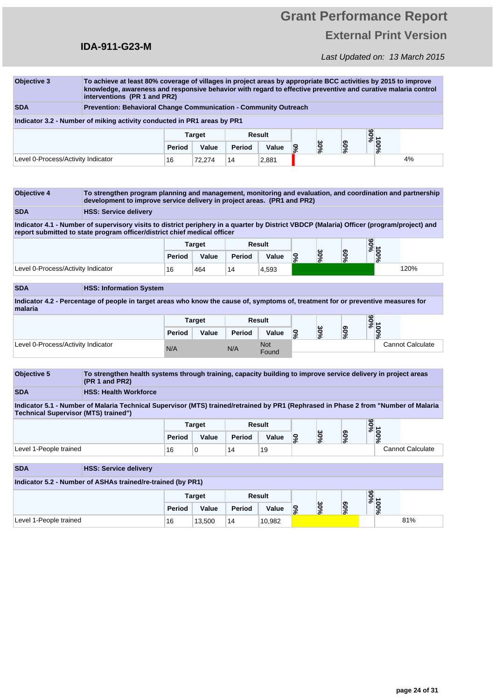### **IDA-911-G23-M**

## Last Updated on: 13 March 2015

| <b>Objective 3</b>                                                             |                                                                                                                                                                                                                                                       |        |               |        |        |                 | To achieve at least 80% coverage of villages in project areas by appropriate BCC activities by 2015 to improve<br>knowledge, awareness and responsive behavior with regard to effective preventive and curative malaria control<br>interventions (PR 1 and PR2) |        |             |      |  |  |  |  |  |  |  |  |  |
|--------------------------------------------------------------------------------|-------------------------------------------------------------------------------------------------------------------------------------------------------------------------------------------------------------------------------------------------------|--------|---------------|--------|--------|-----------------|-----------------------------------------------------------------------------------------------------------------------------------------------------------------------------------------------------------------------------------------------------------------|--------|-------------|------|--|--|--|--|--|--|--|--|--|
| <b>SDA</b><br>Prevention: Behavioral Change Communication - Community Outreach |                                                                                                                                                                                                                                                       |        |               |        |        |                 |                                                                                                                                                                                                                                                                 |        |             |      |  |  |  |  |  |  |  |  |  |
|                                                                                | Indicator 3.2 - Number of miking activity conducted in PR1 areas by PR1                                                                                                                                                                               |        |               |        |        |                 |                                                                                                                                                                                                                                                                 |        |             |      |  |  |  |  |  |  |  |  |  |
|                                                                                |                                                                                                                                                                                                                                                       |        | <b>Target</b> |        | Result |                 |                                                                                                                                                                                                                                                                 |        | %06         |      |  |  |  |  |  |  |  |  |  |
|                                                                                |                                                                                                                                                                                                                                                       | Period | Value         | Period | Value  | <b>S</b>        | 30%                                                                                                                                                                                                                                                             | $60\%$ | 100%        |      |  |  |  |  |  |  |  |  |  |
| Level 0-Process/Activity Indicator<br>16<br>72.274<br>14<br>2,881              |                                                                                                                                                                                                                                                       |        |               |        |        |                 |                                                                                                                                                                                                                                                                 |        |             | 4%   |  |  |  |  |  |  |  |  |  |
|                                                                                |                                                                                                                                                                                                                                                       |        |               |        |        |                 |                                                                                                                                                                                                                                                                 |        |             |      |  |  |  |  |  |  |  |  |  |
| <b>Objective 4</b><br><b>SDA</b>                                               | To strengthen program planning and management, monitoring and evaluation, and coordination and partnership<br>development to improve service delivery in project areas. (PR1 and PR2)                                                                 |        |               |        |        |                 |                                                                                                                                                                                                                                                                 |        |             |      |  |  |  |  |  |  |  |  |  |
|                                                                                | <b>HSS: Service delivery</b><br>Indicator 4.1 - Number of supervisory visits to district periphery in a quarter by District VBDCP (Malaria) Officer (program/project) and<br>report submitted to state program officer/district chief medical officer |        |               |        |        |                 |                                                                                                                                                                                                                                                                 |        |             |      |  |  |  |  |  |  |  |  |  |
|                                                                                |                                                                                                                                                                                                                                                       |        | <b>Target</b> |        | Result |                 |                                                                                                                                                                                                                                                                 |        |             |      |  |  |  |  |  |  |  |  |  |
|                                                                                |                                                                                                                                                                                                                                                       | Period | Value         | Period | Value  | $\mathcal{S}^0$ | 30%                                                                                                                                                                                                                                                             | $60\%$ | %56<br>100% |      |  |  |  |  |  |  |  |  |  |
| Level 0-Process/Activity Indicator                                             |                                                                                                                                                                                                                                                       | 16     | 464           | 14     | 4,593  |                 |                                                                                                                                                                                                                                                                 |        |             | 120% |  |  |  |  |  |  |  |  |  |

**Indicator 4.2 - Percentage of people in target areas who know the cause of, symptoms of, treatment for or preventive measures for malaria**

|                                    | <b>Target</b> |       |        | Result              |    |             |              | $\frac{9606}{11}$    |                         |
|------------------------------------|---------------|-------|--------|---------------------|----|-------------|--------------|----------------------|-------------------------|
|                                    | Period        | Value | Period | Value               | ဒ့ | ω<br>c<br>ò | ၜ<br>0<br>వి | $\bullet$<br>o<br>వి |                         |
| Level 0-Process/Activity Indicator | N/A           |       | N/A    | <b>Not</b><br>Found |    |             |              |                      | <b>Cannot Calculate</b> |

| <b>Objective 5</b>                                                                                                                                                          | To strengthen health systems through training, capacity building to improve service delivery in project areas<br>(PR 1 and PR2) |        |               |        |        |          |     |        |      |                  |  |  |
|-----------------------------------------------------------------------------------------------------------------------------------------------------------------------------|---------------------------------------------------------------------------------------------------------------------------------|--------|---------------|--------|--------|----------|-----|--------|------|------------------|--|--|
| <b>SDA</b>                                                                                                                                                                  | <b>HSS: Health Workforce</b>                                                                                                    |        |               |        |        |          |     |        |      |                  |  |  |
| Indicator 5.1 - Number of Malaria Technical Supervisor (MTS) trained/retrained by PR1 (Rephrased in Phase 2 from "Number of Malaria<br>Technical Supervisor (MTS) trained") |                                                                                                                                 |        |               |        |        |          |     |        |      |                  |  |  |
| %56<br>Result<br><b>Target</b>                                                                                                                                              |                                                                                                                                 |        |               |        |        |          |     |        |      |                  |  |  |
|                                                                                                                                                                             |                                                                                                                                 | Period | Value         | Period | Value  | <b>S</b> | 30% | $60\%$ | 100% |                  |  |  |
| Level 1-People trained                                                                                                                                                      |                                                                                                                                 | 16     | $\mathbf 0$   | 14     | 19     |          |     |        |      | Cannot Calculate |  |  |
| <b>SDA</b>                                                                                                                                                                  | <b>HSS: Service delivery</b>                                                                                                    |        |               |        |        |          |     |        |      |                  |  |  |
|                                                                                                                                                                             | Indicator 5.2 - Number of ASHAs trained/re-trained (by PR1)                                                                     |        |               |        |        |          |     |        |      |                  |  |  |
|                                                                                                                                                                             |                                                                                                                                 |        | <b>Target</b> |        | Result |          |     |        | %06  |                  |  |  |
|                                                                                                                                                                             | 100%<br>30%<br>$60\%$<br><b>S</b><br>Period<br>Value<br>Value<br>Period                                                         |        |               |        |        |          |     |        |      |                  |  |  |
| Level 1-People trained                                                                                                                                                      | 81%<br>16<br>13,500<br>14<br>10,982                                                                                             |        |               |        |        |          |     |        |      |                  |  |  |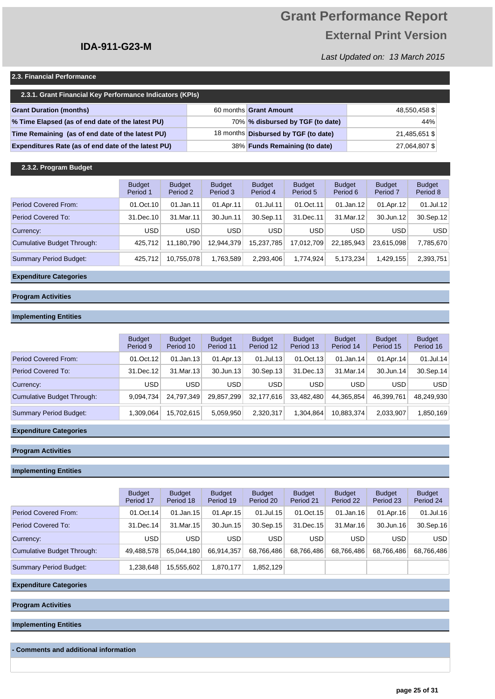# **Grant Performance Report External Print Version**

Last Updated on: 13 March 2015

#### **2.3. Financial Performance**

| 2.3.1. Grant Financial Key Performance Indicators (KPIs) |  |                                      |               |  |  |  |  |  |  |  |  |
|----------------------------------------------------------|--|--------------------------------------|---------------|--|--|--|--|--|--|--|--|
| <b>Grant Duration (months)</b>                           |  | 60 months Grant Amount               | 48,550,458 \$ |  |  |  |  |  |  |  |  |
| % Time Elapsed (as of end date of the latest PU)         |  | 70% % disbursed by TGF (to date)     | 44%           |  |  |  |  |  |  |  |  |
| Time Remaining (as of end date of the latest PU)         |  | 18 months Disbursed by TGF (to date) | 21,485,651 \$ |  |  |  |  |  |  |  |  |
| Expenditures Rate (as of end date of the latest PU)      |  | 38% Funds Remaining (to date)        | 27,064,807 \$ |  |  |  |  |  |  |  |  |

### **2.3.2. Program Budget**

|                               | <b>Budget</b><br>Period 1 | <b>Budget</b><br>Period 2 | <b>Budget</b><br>Period 3 | <b>Budget</b><br>Period 4 | <b>Budget</b><br>Period 5 | <b>Budget</b><br>Period 6 | <b>Budget</b><br>Period <sub>7</sub> | <b>Budget</b><br>Period 8 |
|-------------------------------|---------------------------|---------------------------|---------------------------|---------------------------|---------------------------|---------------------------|--------------------------------------|---------------------------|
| Period Covered From:          | 01.Oct.10                 | 01.Jan.11                 | 01.Apr.11                 | 01.Jul.11                 | 01.Oct.11                 | 01.Jan.12                 | 01.Apr.12                            | $01$ .Jul.12              |
| Period Covered To:            | 31.Dec.10                 | 31.Mar.11                 | 30.Jun.11                 | 30.Sep.11                 | 31.Dec.11                 | 31.Mar.12                 | 30.Jun.12                            | 30.Sep.12                 |
| Currency:                     | USD                       | <b>USD</b>                | <b>USD</b>                | <b>USD</b>                | <b>USD</b>                | <b>USD</b>                | <b>USD</b>                           | <b>USD</b>                |
| Cumulative Budget Through:    | 425.712                   | 11.180.790                | 12.944.379                | 15.237.785                | 17.012.709                | 22.185.943                | 23.615.098                           | 7,785,670                 |
| <b>Summary Period Budget:</b> | 425.712                   | 10.755.078                | 1,763,589                 | 2,293,406                 | 1.774.924                 | 5.173.234                 | 1.429.155                            | 2,393,751                 |

#### **Expenditure Categories**

### **Program Activities**

#### **Implementing Entities**

|                            | <b>Budget</b><br>Period 9 | <b>Budget</b><br>Period 10 | <b>Budget</b><br>Period 11 | <b>Budget</b><br>Period 12 | <b>Budget</b><br>Period 13 | <b>Budget</b><br>Period 14 | <b>Budget</b><br>Period 15 | <b>Budget</b><br>Period 16 |
|----------------------------|---------------------------|----------------------------|----------------------------|----------------------------|----------------------------|----------------------------|----------------------------|----------------------------|
| Period Covered From:       | 01.Oct.12                 | $01$ .Jan.13               | 01.Apr.13                  | $01$ .Jul.13               | 01.Oct.13                  | $01$ .Jan.14               | 01.Apr.14                  | 01.Jul.14                  |
| Period Covered To:         | 31.Dec.12                 | 31.Mar.13                  | 30.Jun.13                  | $30.$ Sep.13               | 31.Dec.13                  | 31.Mar.14                  | 30.Jun.14                  | 30.Sep.14                  |
| Currency:                  | <b>USD</b>                | <b>USD</b>                 | <b>USD</b>                 | <b>USD</b>                 | <b>USD</b>                 | <b>USD</b>                 | <b>USD</b>                 | <b>USD</b>                 |
| Cumulative Budget Through: | 9,094,734                 | 24.797.349                 | 29,857,299                 | 32,177,616                 | 33,482,480                 | 44,365,854                 | 46,399,761                 | 48,249,930                 |
| Summary Period Budget:     | 1,309,064                 | 15.702.615                 | 5,059,950                  | 2,320,317                  | 1.304.864                  | 10.883.374                 | 2.033.907                  | 1,850,169                  |

### **Expenditure Categories**

#### **Program Activities**

#### **Implementing Entities**

|                            | <b>Budget</b><br>Period 17 | <b>Budget</b><br>Period 18 | <b>Budget</b><br>Period 19 | <b>Budget</b><br>Period 20 | <b>Budget</b><br>Period 21 | <b>Budget</b><br>Period 22 | <b>Budget</b><br>Period 23 | <b>Budget</b><br>Period 24 |
|----------------------------|----------------------------|----------------------------|----------------------------|----------------------------|----------------------------|----------------------------|----------------------------|----------------------------|
| Period Covered From:       | 01.Oct.14                  | $01$ .Jan.15               | 01.Apr.15                  | 01.Jul.15                  | 01.0ct.15                  | $01$ .Jan.16               | 01.Apr.16                  | 01.Jul.16                  |
| Period Covered To:         | 31.Dec.14                  | 31. Mar. 15                | 30.Jun.15                  | 30.Sep.15                  | 31.Dec.15                  | 31.Mar.16                  | 30.Jun.16                  | 30.Sep.16                  |
| Currency:                  | <b>USD</b>                 | <b>USD</b>                 | <b>USD</b>                 | <b>USD</b>                 | <b>USD</b>                 | <b>USD</b>                 | <b>USD</b>                 | <b>USD</b>                 |
| Cumulative Budget Through: | 49,488,578                 | 65.044.180                 | 66.914.357                 | 68,766,486                 | 68,766,486                 | 68,766,486                 | 68,766,486                 | 68,766,486                 |
| Summary Period Budget:     | 1,238,648                  | 15,555,602                 | 1,870,177                  | 1,852,129                  |                            |                            |                            |                            |

#### **Expenditure Categories**

**Program Activities**

**Implementing Entities**

**- Comments and additional information**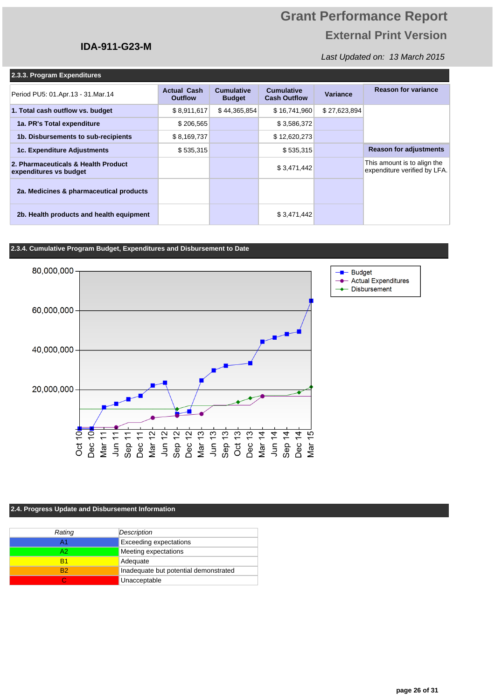### Last Updated on: 13 March 2015

|  | 2.3.3. Program Expenditures |
|--|-----------------------------|
|  |                             |

| $-$                                                           |                                      |                                    |                                          |              |                                                             |
|---------------------------------------------------------------|--------------------------------------|------------------------------------|------------------------------------------|--------------|-------------------------------------------------------------|
| Period PU5: 01.Apr.13 - 31.Mar.14                             | <b>Actual Cash</b><br><b>Outflow</b> | <b>Cumulative</b><br><b>Budget</b> | <b>Cumulative</b><br><b>Cash Outflow</b> | Variance     | <b>Reason for variance</b>                                  |
| 1. Total cash outflow vs. budget                              | \$8,911,617                          | \$44,365,854                       | \$16,741,960                             | \$27,623,894 |                                                             |
| 1a. PR's Total expenditure                                    | \$206,565                            |                                    | \$3,586,372                              |              |                                                             |
| 1b. Disbursements to sub-recipients                           | \$8,169,737                          |                                    | \$12,620,273                             |              |                                                             |
| 1c. Expenditure Adjustments                                   | \$535,315                            |                                    | \$535,315                                |              | <b>Reason for adjustments</b>                               |
| 2. Pharmaceuticals & Health Product<br>expenditures vs budget |                                      |                                    | \$3,471,442                              |              | This amount is to align the<br>expenditure verified by LFA. |
| 2a. Medicines & pharmaceutical products                       |                                      |                                    |                                          |              |                                                             |
| 2b. Health products and health equipment                      |                                      |                                    | \$3,471,442                              |              |                                                             |

### **2.3.4. Cumulative Program Budget, Expenditures and Disbursement to Date**

**IDA-911-G23-M**



### **2.4. Progress Update and Disbursement Information**

| Rating | Description                           |
|--------|---------------------------------------|
|        | <b>Exceeding expectations</b>         |
| Δ9     | Meeting expectations                  |
| R1     | Adequate                              |
| R2     | Inadequate but potential demonstrated |
|        | Unacceptable                          |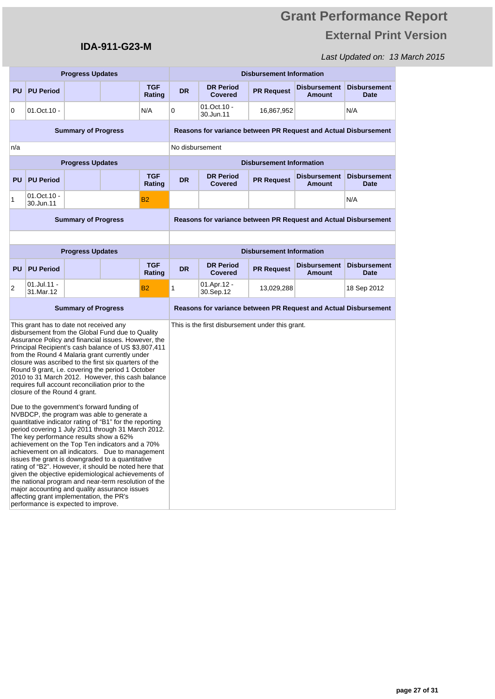## Last Updated on: 13 March 2015

| <b>Progress Updates</b> |                                                                                                                                                                                                       |                            |                                                                                                                                                                                                                                                                                                                                                                                                                                                                                                                                                                                                                                                                                                                                                                                                                                                                                                                                                                                                                                            |                                                                 | <b>Disbursement Information</b> |                                                                 |                                 |                                      |                                    |
|-------------------------|-------------------------------------------------------------------------------------------------------------------------------------------------------------------------------------------------------|----------------------------|--------------------------------------------------------------------------------------------------------------------------------------------------------------------------------------------------------------------------------------------------------------------------------------------------------------------------------------------------------------------------------------------------------------------------------------------------------------------------------------------------------------------------------------------------------------------------------------------------------------------------------------------------------------------------------------------------------------------------------------------------------------------------------------------------------------------------------------------------------------------------------------------------------------------------------------------------------------------------------------------------------------------------------------------|-----------------------------------------------------------------|---------------------------------|-----------------------------------------------------------------|---------------------------------|--------------------------------------|------------------------------------|
| <b>PU</b>               | <b>PU Period</b>                                                                                                                                                                                      |                            |                                                                                                                                                                                                                                                                                                                                                                                                                                                                                                                                                                                                                                                                                                                                                                                                                                                                                                                                                                                                                                            | <b>TGF</b><br>Rating                                            | <b>DR</b>                       | <b>DR Period</b><br><b>Covered</b>                              | <b>PR Request</b>               | <b>Disbursement</b><br><b>Amount</b> | Disbursement<br><b>Date</b>        |
| 0                       | 01.Oct.10 -                                                                                                                                                                                           |                            |                                                                                                                                                                                                                                                                                                                                                                                                                                                                                                                                                                                                                                                                                                                                                                                                                                                                                                                                                                                                                                            | N/A                                                             | 0                               | 01.Oct.10 -<br>30.Jun.11                                        | 16,867,952                      |                                      | N/A                                |
|                         |                                                                                                                                                                                                       | <b>Summary of Progress</b> |                                                                                                                                                                                                                                                                                                                                                                                                                                                                                                                                                                                                                                                                                                                                                                                                                                                                                                                                                                                                                                            |                                                                 |                                 | Reasons for variance between PR Request and Actual Disbursement |                                 |                                      |                                    |
| n/a                     |                                                                                                                                                                                                       |                            |                                                                                                                                                                                                                                                                                                                                                                                                                                                                                                                                                                                                                                                                                                                                                                                                                                                                                                                                                                                                                                            |                                                                 | No disbursement                 |                                                                 |                                 |                                      |                                    |
|                         |                                                                                                                                                                                                       | <b>Progress Updates</b>    |                                                                                                                                                                                                                                                                                                                                                                                                                                                                                                                                                                                                                                                                                                                                                                                                                                                                                                                                                                                                                                            |                                                                 |                                 |                                                                 | <b>Disbursement Information</b> |                                      |                                    |
| <b>PU</b>               | <b>PU Period</b>                                                                                                                                                                                      |                            |                                                                                                                                                                                                                                                                                                                                                                                                                                                                                                                                                                                                                                                                                                                                                                                                                                                                                                                                                                                                                                            | <b>TGF</b><br>Rating                                            | <b>DR</b>                       | <b>DR Period</b><br><b>Covered</b>                              | <b>PR Request</b>               | <b>Disbursement</b><br><b>Amount</b> | <b>Disbursement</b><br><b>Date</b> |
| 1                       | 01.Oct.10 -<br>30.Jun.11                                                                                                                                                                              |                            |                                                                                                                                                                                                                                                                                                                                                                                                                                                                                                                                                                                                                                                                                                                                                                                                                                                                                                                                                                                                                                            | <b>B2</b>                                                       |                                 |                                                                 |                                 |                                      | N/A                                |
|                         | <b>Summary of Progress</b>                                                                                                                                                                            |                            |                                                                                                                                                                                                                                                                                                                                                                                                                                                                                                                                                                                                                                                                                                                                                                                                                                                                                                                                                                                                                                            | Reasons for variance between PR Request and Actual Disbursement |                                 |                                                                 |                                 |                                      |                                    |
|                         |                                                                                                                                                                                                       |                            |                                                                                                                                                                                                                                                                                                                                                                                                                                                                                                                                                                                                                                                                                                                                                                                                                                                                                                                                                                                                                                            |                                                                 |                                 |                                                                 |                                 |                                      |                                    |
|                         |                                                                                                                                                                                                       | <b>Progress Updates</b>    |                                                                                                                                                                                                                                                                                                                                                                                                                                                                                                                                                                                                                                                                                                                                                                                                                                                                                                                                                                                                                                            |                                                                 |                                 |                                                                 | <b>Disbursement Information</b> |                                      |                                    |
| <b>PU</b>               | <b>PU Period</b>                                                                                                                                                                                      |                            |                                                                                                                                                                                                                                                                                                                                                                                                                                                                                                                                                                                                                                                                                                                                                                                                                                                                                                                                                                                                                                            | <b>TGF</b><br>Rating                                            | <b>DR</b>                       | <b>DR Period</b><br><b>Covered</b>                              | <b>PR Request</b>               | <b>Disbursement</b><br>Amount        | <b>Disbursement</b><br><b>Date</b> |
| 2                       | 01.Jul.11 -<br>31.Mar.12                                                                                                                                                                              |                            |                                                                                                                                                                                                                                                                                                                                                                                                                                                                                                                                                                                                                                                                                                                                                                                                                                                                                                                                                                                                                                            | <b>B2</b>                                                       | 1                               | 01.Apr.12 -<br>30.Sep.12                                        | 13,029,288                      |                                      | 18 Sep 2012                        |
|                         |                                                                                                                                                                                                       | <b>Summary of Progress</b> |                                                                                                                                                                                                                                                                                                                                                                                                                                                                                                                                                                                                                                                                                                                                                                                                                                                                                                                                                                                                                                            |                                                                 |                                 | Reasons for variance between PR Request and Actual Disbursement |                                 |                                      |                                    |
|                         | This grant has to date not received any<br>closure of the Round 4 grant.<br>The key performance results show a 62%<br>affecting grant implementation, the PR's<br>performance is expected to improve. |                            | disbursement from the Global Fund due to Quality<br>Assurance Policy and financial issues. However, the<br>Principal Recipient's cash balance of US \$3,807,411<br>from the Round 4 Malaria grant currently under<br>closure was ascribed to the first six quarters of the<br>Round 9 grant, i.e. covering the period 1 October<br>2010 to 31 March 2012. However, this cash balance<br>requires full account reconciliation prior to the<br>Due to the government's forward funding of<br>NVBDCP, the program was able to generate a<br>quantitative indicator rating of "B1" for the reporting<br>period covering 1 July 2011 through 31 March 2012.<br>achievement on the Top Ten indicators and a 70%<br>achievement on all indicators. Due to management<br>issues the grant is downgraded to a quantitative<br>rating of "B2". However, it should be noted here that<br>given the objective epidemiological achievements of<br>the national program and near-term resolution of the<br>major accounting and quality assurance issues |                                                                 |                                 | This is the first disbursement under this grant.                |                                 |                                      |                                    |

**IDA-911-G23-M**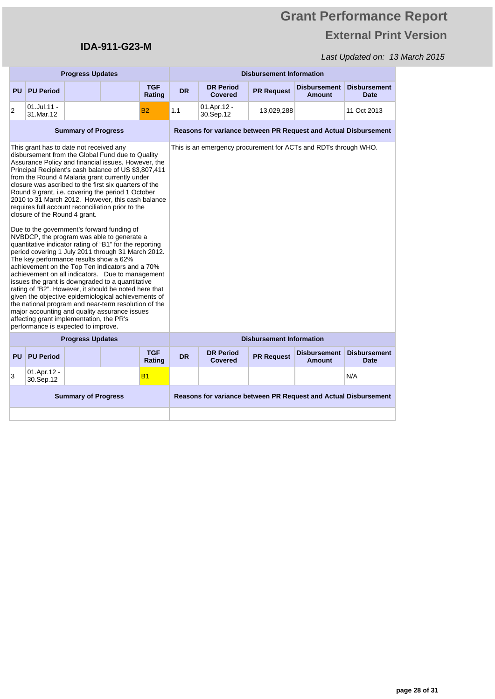# **Grant Performance Report External Print Version**

|                            | <b>Progress Updates</b>                                                                                                                                                                               |                            |                                                                                                                                                                                                                                                                                                                                                                                                                                                                                                                                                                                                                                                                                                                                                                                                                                                                                                                                                                                                                                            |                      |                                                                 | <b>Disbursement Information</b>    |                                 |                                                                 |                                    |  |  |
|----------------------------|-------------------------------------------------------------------------------------------------------------------------------------------------------------------------------------------------------|----------------------------|--------------------------------------------------------------------------------------------------------------------------------------------------------------------------------------------------------------------------------------------------------------------------------------------------------------------------------------------------------------------------------------------------------------------------------------------------------------------------------------------------------------------------------------------------------------------------------------------------------------------------------------------------------------------------------------------------------------------------------------------------------------------------------------------------------------------------------------------------------------------------------------------------------------------------------------------------------------------------------------------------------------------------------------------|----------------------|-----------------------------------------------------------------|------------------------------------|---------------------------------|-----------------------------------------------------------------|------------------------------------|--|--|
| <b>PU</b>                  | <b>PU Period</b>                                                                                                                                                                                      |                            |                                                                                                                                                                                                                                                                                                                                                                                                                                                                                                                                                                                                                                                                                                                                                                                                                                                                                                                                                                                                                                            | <b>TGF</b><br>Rating | <b>DR</b>                                                       | <b>DR Period</b><br><b>Covered</b> | <b>PR Request</b>               | <b>Disbursement</b><br><b>Amount</b>                            | <b>Disbursement</b><br><b>Date</b> |  |  |
| 2                          | $01$ .Jul.11 -<br>31.Mar.12                                                                                                                                                                           |                            |                                                                                                                                                                                                                                                                                                                                                                                                                                                                                                                                                                                                                                                                                                                                                                                                                                                                                                                                                                                                                                            | <b>B2</b>            | 1.1                                                             | 01.Apr.12 -<br>30.Sep.12           | 13,029,288                      |                                                                 | 11 Oct 2013                        |  |  |
| <b>Summary of Progress</b> |                                                                                                                                                                                                       |                            |                                                                                                                                                                                                                                                                                                                                                                                                                                                                                                                                                                                                                                                                                                                                                                                                                                                                                                                                                                                                                                            |                      | Reasons for variance between PR Request and Actual Disbursement |                                    |                                 |                                                                 |                                    |  |  |
|                            | This grant has to date not received any<br>closure of the Round 4 grant.<br>The key performance results show a 62%<br>affecting grant implementation, the PR's<br>performance is expected to improve. |                            | disbursement from the Global Fund due to Quality<br>Assurance Policy and financial issues. However, the<br>Principal Recipient's cash balance of US \$3,807,411<br>from the Round 4 Malaria grant currently under<br>closure was ascribed to the first six quarters of the<br>Round 9 grant, i.e. covering the period 1 October<br>2010 to 31 March 2012. However, this cash balance<br>requires full account reconciliation prior to the<br>Due to the government's forward funding of<br>NVBDCP, the program was able to generate a<br>quantitative indicator rating of "B1" for the reporting<br>period covering 1 July 2011 through 31 March 2012.<br>achievement on the Top Ten indicators and a 70%<br>achievement on all indicators. Due to management<br>issues the grant is downgraded to a quantitative<br>rating of "B2". However, it should be noted here that<br>given the objective epidemiological achievements of<br>the national program and near-term resolution of the<br>major accounting and quality assurance issues |                      |                                                                 |                                    |                                 | This is an emergency procurement for ACTs and RDTs through WHO. |                                    |  |  |
|                            |                                                                                                                                                                                                       | <b>Progress Updates</b>    |                                                                                                                                                                                                                                                                                                                                                                                                                                                                                                                                                                                                                                                                                                                                                                                                                                                                                                                                                                                                                                            |                      |                                                                 |                                    | <b>Disbursement Information</b> |                                                                 |                                    |  |  |
| <b>PU</b>                  | <b>PU Period</b>                                                                                                                                                                                      |                            |                                                                                                                                                                                                                                                                                                                                                                                                                                                                                                                                                                                                                                                                                                                                                                                                                                                                                                                                                                                                                                            | <b>TGF</b><br>Rating | <b>DR</b>                                                       | <b>DR Period</b><br>Covered        | <b>PR Request</b>               | <b>Disbursement</b><br><b>Amount</b>                            | <b>Disbursement</b><br><b>Date</b> |  |  |
| 3                          | 01.Apr.12 -<br>30.Sep.12                                                                                                                                                                              |                            |                                                                                                                                                                                                                                                                                                                                                                                                                                                                                                                                                                                                                                                                                                                                                                                                                                                                                                                                                                                                                                            | B <sub>1</sub>       |                                                                 |                                    |                                 |                                                                 | N/A                                |  |  |
|                            |                                                                                                                                                                                                       | <b>Summary of Progress</b> |                                                                                                                                                                                                                                                                                                                                                                                                                                                                                                                                                                                                                                                                                                                                                                                                                                                                                                                                                                                                                                            |                      |                                                                 |                                    |                                 | Reasons for variance between PR Request and Actual Disbursement |                                    |  |  |
|                            |                                                                                                                                                                                                       |                            |                                                                                                                                                                                                                                                                                                                                                                                                                                                                                                                                                                                                                                                                                                                                                                                                                                                                                                                                                                                                                                            |                      |                                                                 |                                    |                                 |                                                                 |                                    |  |  |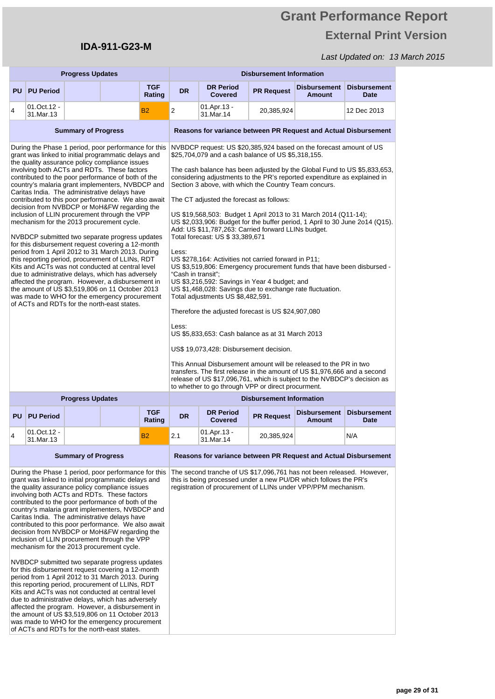# **Grant Performance Report External Print Version**

|                                                                                                                                                                                                                                                                                                                                                                                                                                                                                                                                                                                                                                                                                                                                                                                                                                                                                                                                                                                                                                                                                                              |                                                                                                                                                                                                                                                                                                                                                                                                                                                                                                                                                                                                                                                                                                                                                                                                                                                                                                                                                                                                                                                                                                              | <b>Progress Updates</b>    |  |                                                                                                                                                                                                                                                                                                                                                                                                                                                                                                                                                                                                                                                                                                                                                                                                                                                                                                                                                                                                                                                                                                                      |                |                                                                                                                                                                                                            | <b>Disbursement Information</b> |                                                                                                                                                                                                                             |                                    |  |  |
|--------------------------------------------------------------------------------------------------------------------------------------------------------------------------------------------------------------------------------------------------------------------------------------------------------------------------------------------------------------------------------------------------------------------------------------------------------------------------------------------------------------------------------------------------------------------------------------------------------------------------------------------------------------------------------------------------------------------------------------------------------------------------------------------------------------------------------------------------------------------------------------------------------------------------------------------------------------------------------------------------------------------------------------------------------------------------------------------------------------|--------------------------------------------------------------------------------------------------------------------------------------------------------------------------------------------------------------------------------------------------------------------------------------------------------------------------------------------------------------------------------------------------------------------------------------------------------------------------------------------------------------------------------------------------------------------------------------------------------------------------------------------------------------------------------------------------------------------------------------------------------------------------------------------------------------------------------------------------------------------------------------------------------------------------------------------------------------------------------------------------------------------------------------------------------------------------------------------------------------|----------------------------|--|----------------------------------------------------------------------------------------------------------------------------------------------------------------------------------------------------------------------------------------------------------------------------------------------------------------------------------------------------------------------------------------------------------------------------------------------------------------------------------------------------------------------------------------------------------------------------------------------------------------------------------------------------------------------------------------------------------------------------------------------------------------------------------------------------------------------------------------------------------------------------------------------------------------------------------------------------------------------------------------------------------------------------------------------------------------------------------------------------------------------|----------------|------------------------------------------------------------------------------------------------------------------------------------------------------------------------------------------------------------|---------------------------------|-----------------------------------------------------------------------------------------------------------------------------------------------------------------------------------------------------------------------------|------------------------------------|--|--|
| <b>PU</b>                                                                                                                                                                                                                                                                                                                                                                                                                                                                                                                                                                                                                                                                                                                                                                                                                                                                                                                                                                                                                                                                                                    | <b>PU Period</b>                                                                                                                                                                                                                                                                                                                                                                                                                                                                                                                                                                                                                                                                                                                                                                                                                                                                                                                                                                                                                                                                                             |                            |  | <b>TGF</b><br>Rating                                                                                                                                                                                                                                                                                                                                                                                                                                                                                                                                                                                                                                                                                                                                                                                                                                                                                                                                                                                                                                                                                                 | <b>DR</b>      | <b>DR Period</b><br><b>Covered</b>                                                                                                                                                                         | <b>PR Request</b>               | <b>Disbursement</b><br><b>Amount</b>                                                                                                                                                                                        | <b>Disbursement</b><br><b>Date</b> |  |  |
| 4                                                                                                                                                                                                                                                                                                                                                                                                                                                                                                                                                                                                                                                                                                                                                                                                                                                                                                                                                                                                                                                                                                            | 01.Oct.12 -<br>31.Mar.13                                                                                                                                                                                                                                                                                                                                                                                                                                                                                                                                                                                                                                                                                                                                                                                                                                                                                                                                                                                                                                                                                     |                            |  | <b>B2</b>                                                                                                                                                                                                                                                                                                                                                                                                                                                                                                                                                                                                                                                                                                                                                                                                                                                                                                                                                                                                                                                                                                            | $\overline{2}$ | 01.Apr.13 -<br>31.Mar.14                                                                                                                                                                                   | 20,385,924                      |                                                                                                                                                                                                                             | 12 Dec 2013                        |  |  |
|                                                                                                                                                                                                                                                                                                                                                                                                                                                                                                                                                                                                                                                                                                                                                                                                                                                                                                                                                                                                                                                                                                              |                                                                                                                                                                                                                                                                                                                                                                                                                                                                                                                                                                                                                                                                                                                                                                                                                                                                                                                                                                                                                                                                                                              | <b>Summary of Progress</b> |  |                                                                                                                                                                                                                                                                                                                                                                                                                                                                                                                                                                                                                                                                                                                                                                                                                                                                                                                                                                                                                                                                                                                      |                | Reasons for variance between PR Request and Actual Disbursement                                                                                                                                            |                                 |                                                                                                                                                                                                                             |                                    |  |  |
| During the Phase 1 period, poor performance for this<br>grant was linked to initial programmatic delays and<br>the quality assurance policy compliance issues<br>involving both ACTs and RDTs. These factors<br>contributed to the poor performance of both of the<br>country's malaria grant implementers, NVBDCP and<br>Caritas India. The administrative delays have<br>contributed to this poor performance. We also await<br>decision from NVBDCP or MoH&FW regarding the<br>inclusion of LLIN procurement through the VPP<br>mechanism for the 2013 procurement cycle.<br>NVBDCP submitted two separate progress updates<br>for this disbursement request covering a 12-month<br>period from 1 April 2012 to 31 March 2013. During<br>this reporting period, procurement of LLINs, RDT<br>Kits and ACTs was not conducted at central level<br>due to administrative delays, which has adversely<br>affected the program. However, a disbursement in<br>the amount of US \$3,519,806 on 11 October 2013<br>was made to WHO for the emergency procurement<br>of ACTs and RDTs for the north-east states. |                                                                                                                                                                                                                                                                                                                                                                                                                                                                                                                                                                                                                                                                                                                                                                                                                                                                                                                                                                                                                                                                                                              |                            |  | \$25,704,079 and a cash balance of US \$5,318,155.<br>The cash balance has been adjusted by the Global Fund to US \$5,833,653,<br>considering adjustments to the PR's reported expenditure as explained in<br>Section 3 above, with which the Country Team concurs.<br>The CT adjusted the forecast as follows:<br>US \$19,568,503: Budget 1 April 2013 to 31 March 2014 (Q11-14);<br>US \$2,033,906: Budget for the buffer period, 1 April to 30 June 2014 (Q15).<br>Add: US \$11,787,263: Carried forward LLINs budget.<br>Total forecast: US \$ 33,389,671<br>Less:<br>US \$278,164: Activities not carried forward in P11;<br>US \$3,519,806: Emergency procurement funds that have been disbursed -<br>"Cash in transit":<br>US \$3,216,592: Savings in Year 4 budget; and<br>US \$1,468,028: Savings due to exchange rate fluctuation.<br>Total adjustments US \$8,482,591.<br>Therefore the adjusted forecast is US \$24,907,080<br>Less:<br>US \$5,833,653: Cash balance as at 31 March 2013<br>US\$ 19,073,428: Disbursement decision.<br>This Annual Disbursement amount will be released to the PR in two |                |                                                                                                                                                                                                            |                                 | NVBDCP request: US \$20,385,924 based on the forecast amount of US<br>transfers. The first release in the amount of US \$1,976,666 and a second<br>release of US \$17,096,761, which is subject to the NVBDCP's decision as |                                    |  |  |
|                                                                                                                                                                                                                                                                                                                                                                                                                                                                                                                                                                                                                                                                                                                                                                                                                                                                                                                                                                                                                                                                                                              |                                                                                                                                                                                                                                                                                                                                                                                                                                                                                                                                                                                                                                                                                                                                                                                                                                                                                                                                                                                                                                                                                                              | <b>Progress Updates</b>    |  |                                                                                                                                                                                                                                                                                                                                                                                                                                                                                                                                                                                                                                                                                                                                                                                                                                                                                                                                                                                                                                                                                                                      |                | to whether to go through VPP or direct procurment.                                                                                                                                                         | <b>Disbursement Information</b> |                                                                                                                                                                                                                             |                                    |  |  |
| PU                                                                                                                                                                                                                                                                                                                                                                                                                                                                                                                                                                                                                                                                                                                                                                                                                                                                                                                                                                                                                                                                                                           | <b>PU Period</b>                                                                                                                                                                                                                                                                                                                                                                                                                                                                                                                                                                                                                                                                                                                                                                                                                                                                                                                                                                                                                                                                                             |                            |  | <b>TGF</b><br>Rating                                                                                                                                                                                                                                                                                                                                                                                                                                                                                                                                                                                                                                                                                                                                                                                                                                                                                                                                                                                                                                                                                                 | <b>DR</b>      | <b>DR Period</b><br><b>Covered</b>                                                                                                                                                                         | <b>PR Request</b>               | <b>Disbursement</b><br><b>Amount</b>                                                                                                                                                                                        | <b>Disbursement</b><br><b>Date</b> |  |  |
| 4                                                                                                                                                                                                                                                                                                                                                                                                                                                                                                                                                                                                                                                                                                                                                                                                                                                                                                                                                                                                                                                                                                            | 01.Oct.12 -<br>31.Mar.13                                                                                                                                                                                                                                                                                                                                                                                                                                                                                                                                                                                                                                                                                                                                                                                                                                                                                                                                                                                                                                                                                     |                            |  | <b>B2</b>                                                                                                                                                                                                                                                                                                                                                                                                                                                                                                                                                                                                                                                                                                                                                                                                                                                                                                                                                                                                                                                                                                            | 2.1            | 01.Apr.13 -<br>31.Mar.14                                                                                                                                                                                   | 20,385,924                      |                                                                                                                                                                                                                             | N/A                                |  |  |
|                                                                                                                                                                                                                                                                                                                                                                                                                                                                                                                                                                                                                                                                                                                                                                                                                                                                                                                                                                                                                                                                                                              |                                                                                                                                                                                                                                                                                                                                                                                                                                                                                                                                                                                                                                                                                                                                                                                                                                                                                                                                                                                                                                                                                                              | <b>Summary of Progress</b> |  |                                                                                                                                                                                                                                                                                                                                                                                                                                                                                                                                                                                                                                                                                                                                                                                                                                                                                                                                                                                                                                                                                                                      |                | Reasons for variance between PR Request and Actual Disbursement                                                                                                                                            |                                 |                                                                                                                                                                                                                             |                                    |  |  |
|                                                                                                                                                                                                                                                                                                                                                                                                                                                                                                                                                                                                                                                                                                                                                                                                                                                                                                                                                                                                                                                                                                              | During the Phase 1 period, poor performance for this<br>grant was linked to initial programmatic delays and<br>the quality assurance policy compliance issues<br>involving both ACTs and RDTs. These factors<br>contributed to the poor performance of both of the<br>country's malaria grant implementers, NVBDCP and<br>Caritas India. The administrative delays have<br>contributed to this poor performance. We also await<br>decision from NVBDCP or MoH&FW regarding the<br>inclusion of LLIN procurement through the VPP<br>mechanism for the 2013 procurement cycle.<br>NVBDCP submitted two separate progress updates<br>for this disbursement request covering a 12-month<br>period from 1 April 2012 to 31 March 2013. During<br>this reporting period, procurement of LLINs, RDT<br>Kits and ACTs was not conducted at central level<br>due to administrative delays, which has adversely<br>affected the program. However, a disbursement in<br>the amount of US \$3,519,806 on 11 October 2013<br>was made to WHO for the emergency procurement<br>of ACTs and RDTs for the north-east states. |                            |  |                                                                                                                                                                                                                                                                                                                                                                                                                                                                                                                                                                                                                                                                                                                                                                                                                                                                                                                                                                                                                                                                                                                      |                | The second tranche of US \$17,096,761 has not been released. However,<br>this is being processed under a new PU/DR which follows the PR's<br>registration of procurement of LLINs under VPP/PPM mechanism. |                                 |                                                                                                                                                                                                                             |                                    |  |  |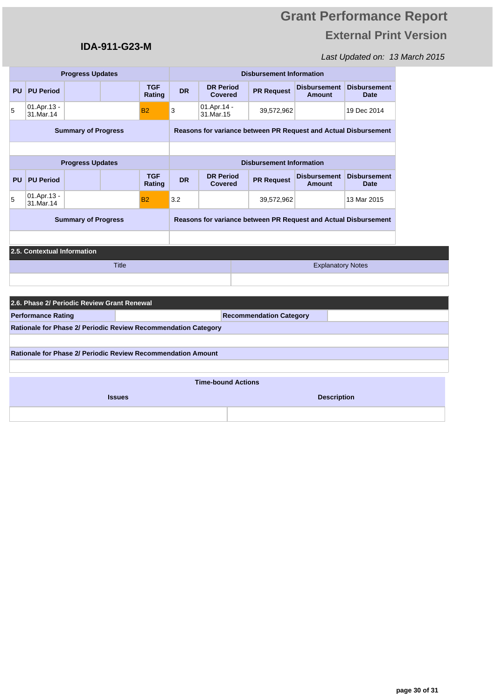## **IDA-911-G23-M**

|                            |                                                                     | <b>Progress Updates</b>    |              |                      |                                                                 | <b>Disbursement Information</b>    |                                                                 |                                      |                                    |  |  |  |
|----------------------------|---------------------------------------------------------------------|----------------------------|--------------|----------------------|-----------------------------------------------------------------|------------------------------------|-----------------------------------------------------------------|--------------------------------------|------------------------------------|--|--|--|
|                            | <b>PU</b> PU Period                                                 |                            |              | <b>TGF</b><br>Rating | <b>DR</b>                                                       | <b>DR Period</b><br><b>Covered</b> | <b>PR Request</b>                                               | <b>Disbursement</b><br><b>Amount</b> | <b>Disbursement</b><br><b>Date</b> |  |  |  |
| 5                          | 01.Apr.13 -<br>31.Mar.14                                            |                            |              | <b>B2</b>            | 3                                                               | 01.Apr.14 -<br>31.Mar.15           | 39,572,962                                                      |                                      | 19 Dec 2014                        |  |  |  |
| <b>Summary of Progress</b> |                                                                     |                            |              |                      |                                                                 |                                    | Reasons for variance between PR Request and Actual Disbursement |                                      |                                    |  |  |  |
|                            |                                                                     |                            |              |                      |                                                                 |                                    |                                                                 |                                      |                                    |  |  |  |
|                            |                                                                     | <b>Progress Updates</b>    |              |                      |                                                                 |                                    | <b>Disbursement Information</b>                                 |                                      |                                    |  |  |  |
| <b>PU</b>                  | <b>PU Period</b>                                                    |                            |              | <b>TGF</b><br>Rating | <b>DR</b>                                                       | <b>DR Period</b><br><b>Covered</b> | <b>PR Request</b>                                               | <b>Disbursement</b><br><b>Amount</b> | <b>Disbursement</b><br><b>Date</b> |  |  |  |
| 5                          | 01.Apr.13 -<br>31.Mar.14                                            |                            |              | <b>B2</b>            | 3.2                                                             |                                    | 39,572,962                                                      |                                      | 13 Mar 2015                        |  |  |  |
|                            |                                                                     | <b>Summary of Progress</b> |              |                      | Reasons for variance between PR Request and Actual Disbursement |                                    |                                                                 |                                      |                                    |  |  |  |
|                            |                                                                     |                            |              |                      |                                                                 |                                    |                                                                 |                                      |                                    |  |  |  |
|                            | 2.5. Contextual Information                                         |                            |              |                      |                                                                 |                                    |                                                                 |                                      |                                    |  |  |  |
|                            |                                                                     |                            | <b>Title</b> |                      |                                                                 |                                    |                                                                 | <b>Explanatory Notes</b>             |                                    |  |  |  |
|                            |                                                                     |                            |              |                      |                                                                 |                                    |                                                                 |                                      |                                    |  |  |  |
|                            | 2.6. Phase 2/ Periodic Review Grant Renewal                         |                            |              |                      |                                                                 |                                    |                                                                 |                                      |                                    |  |  |  |
|                            | <b>Performance Rating</b>                                           |                            |              |                      |                                                                 |                                    | <b>Recommendation Category</b>                                  |                                      |                                    |  |  |  |
|                            | Rationale for Phase 2/ Periodic Review Recommendation Category      |                            |              |                      |                                                                 |                                    |                                                                 |                                      |                                    |  |  |  |
|                            |                                                                     |                            |              |                      |                                                                 |                                    |                                                                 |                                      |                                    |  |  |  |
|                            | <b>Rationale for Phase 2/ Periodic Review Recommendation Amount</b> |                            |              |                      |                                                                 |                                    |                                                                 |                                      |                                    |  |  |  |
|                            |                                                                     |                            |              |                      |                                                                 |                                    |                                                                 |                                      |                                    |  |  |  |
|                            |                                                                     |                            |              |                      |                                                                 | <b>Time-bound Actions</b>          |                                                                 |                                      |                                    |  |  |  |
| <b>Issues</b>              |                                                                     |                            |              |                      |                                                                 |                                    |                                                                 | <b>Description</b>                   |                                    |  |  |  |